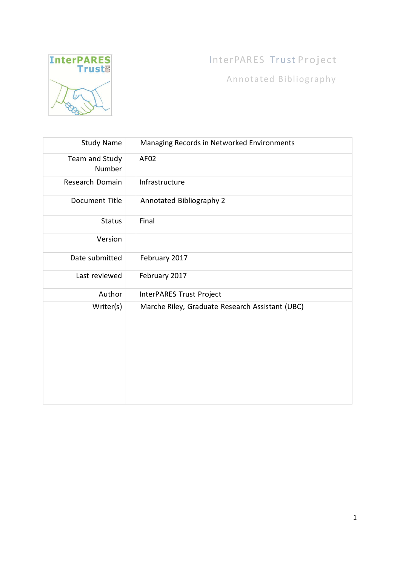# InterPARES Trust Project

**InterPARES**<br>Trust

Annotated Bibliography

| <b>Study Name</b>        | Managing Records in Networked Environments      |
|--------------------------|-------------------------------------------------|
| Team and Study<br>Number | AF02                                            |
| Research Domain          | Infrastructure                                  |
| Document Title           | Annotated Bibliography 2                        |
| <b>Status</b>            | Final                                           |
| Version                  |                                                 |
| Date submitted           | February 2017                                   |
| Last reviewed            | February 2017                                   |
| Author                   | InterPARES Trust Project                        |
| Writer(s)                | Marche Riley, Graduate Research Assistant (UBC) |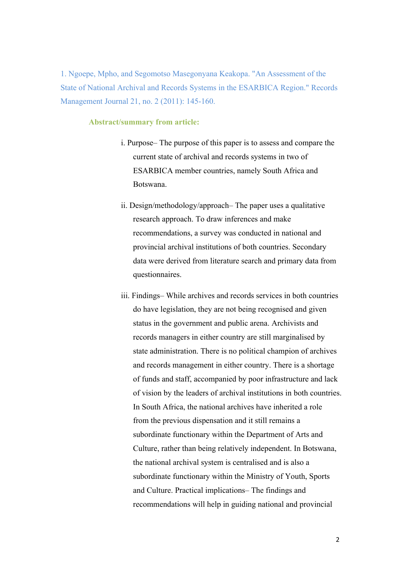1. Ngoepe, Mpho, and Segomotso Masegonyana Keakopa. "An Assessment of the State of National Archival and Records Systems in the ESARBICA Region." Records Management Journal 21, no. 2 (2011): 145-160.

### **Abstract/summary from article:**

- i. Purpose– The purpose of this paper is to assess and compare the current state of archival and records systems in two of ESARBICA member countries, namely South Africa and Botswana.
- ii. Design/methodology/approach– The paper uses a qualitative research approach. To draw inferences and make recommendations, a survey was conducted in national and provincial archival institutions of both countries. Secondary data were derived from literature search and primary data from questionnaires.
- iii. Findings– While archives and records services in both countries do have legislation, they are not being recognised and given status in the government and public arena. Archivists and records managers in either country are still marginalised by state administration. There is no political champion of archives and records management in either country. There is a shortage of funds and staff, accompanied by poor infrastructure and lack of vision by the leaders of archival institutions in both countries. In South Africa, the national archives have inherited a role from the previous dispensation and it still remains a subordinate functionary within the Department of Arts and Culture, rather than being relatively independent. In Botswana, the national archival system is centralised and is also a subordinate functionary within the Ministry of Youth, Sports and Culture. Practical implications– The findings and recommendations will help in guiding national and provincial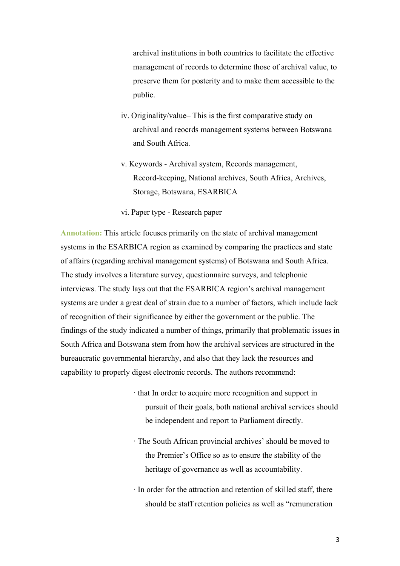archival institutions in both countries to facilitate the effective management of records to determine those of archival value, to preserve them for posterity and to make them accessible to the public.

- iv. Originality/value– This is the first comparative study on archival and reocrds management systems between Botswana and South Africa.
- v. Keywords Archival system, Records management, Record-keeping, National archives, South Africa, Archives, Storage, Botswana, ESARBICA
- vi. Paper type Research paper

**Annotation:** This article focuses primarily on the state of archival management systems in the ESARBICA region as examined by comparing the practices and state of affairs (regarding archival management systems) of Botswana and South Africa. The study involves a literature survey, questionnaire surveys, and telephonic interviews. The study lays out that the ESARBICA region's archival management systems are under a great deal of strain due to a number of factors, which include lack of recognition of their significance by either the government or the public. The findings of the study indicated a number of things, primarily that problematic issues in South Africa and Botswana stem from how the archival services are structured in the bureaucratic governmental hierarchy, and also that they lack the resources and capability to properly digest electronic records. The authors recommend:

- · that In order to acquire more recognition and support in pursuit of their goals, both national archival services should be independent and report to Parliament directly.
- · The South African provincial archives' should be moved to the Premier's Office so as to ensure the stability of the heritage of governance as well as accountability.
- · In order for the attraction and retention of skilled staff, there should be staff retention policies as well as "remuneration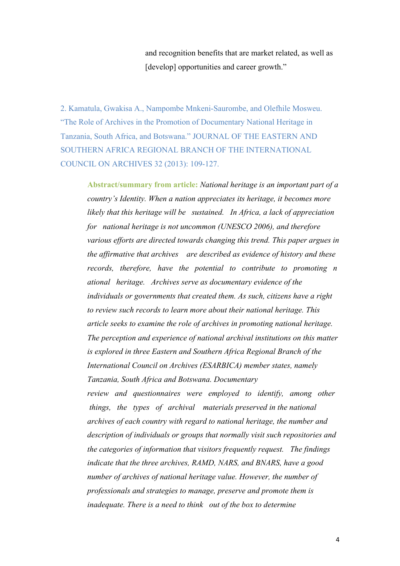and recognition benefits that are market related, as well as [develop] opportunities and career growth."

2. Kamatula, Gwakisa A., Nampombe Mnkeni-Saurombe, and Olefhile Mosweu. "The Role of Archives in the Promotion of Documentary National Heritage in Tanzania, South Africa, and Botswana." JOURNAL OF THE EASTERN AND SOUTHERN AFRICA REGIONAL BRANCH OF THE INTERNATIONAL COUNCIL ON ARCHIVES 32 (2013): 109-127.

**Abstract/summary from article:** *National heritage is an important part of a country's Identity. When a nation appreciates its heritage, it becomes more likely that this heritage will be sustained. In Africa, a lack of appreciation for national heritage is not uncommon (UNESCO 2006), and therefore various efforts are directed towards changing this trend. This paper argues in the affirmative that archives are described as evidence of history and these records, therefore, have the potential to contribute to promoting n ational heritage. Archives serve as documentary evidence of the individuals or governments that created them. As such, citizens have a right to review such records to learn more about their national heritage. This article seeks to examine the role of archives in promoting national heritage. The perception and experience of national archival institutions on this matter is explored in three Eastern and Southern Africa Regional Branch of the International Council on Archives (ESARBICA) member states, namely Tanzania, South Africa and Botswana. Documentary review and questionnaires were employed to identify, among other things, the types of archival materials preserved in the national archives of each country with regard to national heritage, the number and description of individuals or groups that normally visit such repositories and the categories of information that visitors frequently request. The findings indicate that the three archives, RAMD, NARS, and BNARS, have a good number of archives of national heritage value. However, the number of professionals and strategies to manage, preserve and promote them is inadequate. There is a need to think out of the box to determine*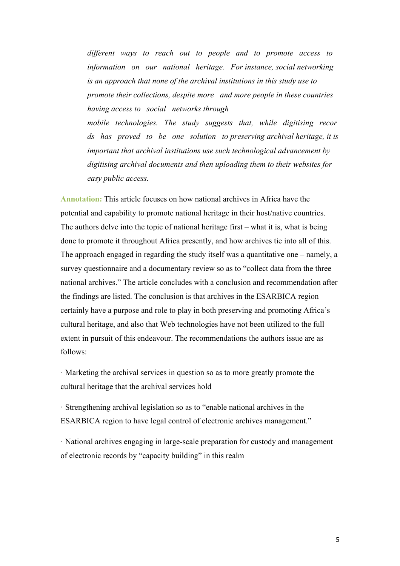*different ways to reach out to people and to promote access to information on our national heritage. For instance, social networking is an approach that none of the archival institutions in this study use to promote their collections, despite more and more people in these countries having access to social networks through mobile technologies. The study suggests that, while digitising recor ds has proved to be one solution to preserving archival heritage, it is important that archival institutions use such technological advancement by digitising archival documents and then uploading them to their websites for easy public access.*

**Annotation:** This article focuses on how national archives in Africa have the potential and capability to promote national heritage in their host/native countries. The authors delve into the topic of national heritage first – what it is, what is being done to promote it throughout Africa presently, and how archives tie into all of this. The approach engaged in regarding the study itself was a quantitative one – namely, a survey questionnaire and a documentary review so as to "collect data from the three national archives." The article concludes with a conclusion and recommendation after the findings are listed. The conclusion is that archives in the ESARBICA region certainly have a purpose and role to play in both preserving and promoting Africa's cultural heritage, and also that Web technologies have not been utilized to the full extent in pursuit of this endeavour. The recommendations the authors issue are as follows:

· Marketing the archival services in question so as to more greatly promote the cultural heritage that the archival services hold

· Strengthening archival legislation so as to "enable national archives in the ESARBICA region to have legal control of electronic archives management."

· National archives engaging in large-scale preparation for custody and management of electronic records by "capacity building" in this realm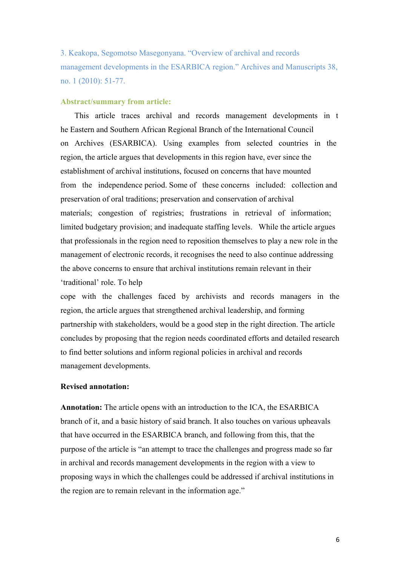3. Keakopa, Segomotso Masegonyana. "Overview of archival and records management developments in the ESARBICA region." Archives and Manuscripts 38, no. 1 (2010): 51-77.

#### **Abstract/summary from article:**

This article traces archival and records management developments in t he Eastern and Southern African Regional Branch of the International Council on Archives (ESARBICA). Using examples from selected countries in the region, the article argues that developments in this region have, ever since the establishment of archival institutions, focused on concerns that have mounted from the independence period. Some of these concerns included: collection and preservation of oral traditions; preservation and conservation of archival materials; congestion of registries; frustrations in retrieval of information; limited budgetary provision; and inadequate staffing levels. While the article argues that professionals in the region need to reposition themselves to play a new role in the management of electronic records, it recognises the need to also continue addressing the above concerns to ensure that archival institutions remain relevant in their 'traditional' role. To help

cope with the challenges faced by archivists and records managers in the region, the article argues that strengthened archival leadership, and forming partnership with stakeholders, would be a good step in the right direction. The article concludes by proposing that the region needs coordinated efforts and detailed research to find better solutions and inform regional policies in archival and records management developments.

### **Revised annotation:**

**Annotation:** The article opens with an introduction to the ICA, the ESARBICA branch of it, and a basic history of said branch. It also touches on various upheavals that have occurred in the ESARBICA branch, and following from this, that the purpose of the article is "an attempt to trace the challenges and progress made so far in archival and records management developments in the region with a view to proposing ways in which the challenges could be addressed if archival institutions in the region are to remain relevant in the information age."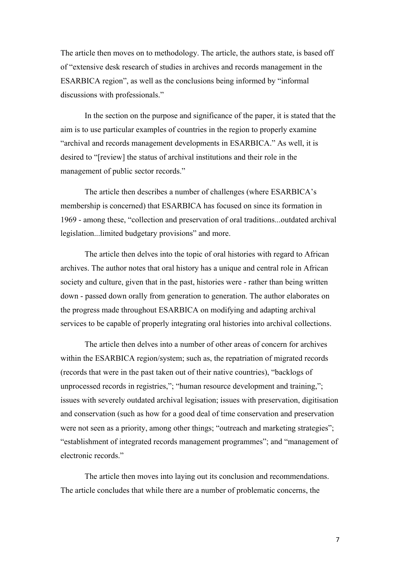The article then moves on to methodology. The article, the authors state, is based off of "extensive desk research of studies in archives and records management in the ESARBICA region", as well as the conclusions being informed by "informal discussions with professionals."

In the section on the purpose and significance of the paper, it is stated that the aim is to use particular examples of countries in the region to properly examine "archival and records management developments in ESARBICA." As well, it is desired to "[review] the status of archival institutions and their role in the management of public sector records."

The article then describes a number of challenges (where ESARBICA's membership is concerned) that ESARBICA has focused on since its formation in 1969 - among these, "collection and preservation of oral traditions...outdated archival legislation...limited budgetary provisions" and more.

The article then delves into the topic of oral histories with regard to African archives. The author notes that oral history has a unique and central role in African society and culture, given that in the past, histories were - rather than being written down - passed down orally from generation to generation. The author elaborates on the progress made throughout ESARBICA on modifying and adapting archival services to be capable of properly integrating oral histories into archival collections.

The article then delves into a number of other areas of concern for archives within the ESARBICA region/system; such as, the repatriation of migrated records (records that were in the past taken out of their native countries), "backlogs of unprocessed records in registries,"; "human resource development and training,"; issues with severely outdated archival legisation; issues with preservation, digitisation and conservation (such as how for a good deal of time conservation and preservation were not seen as a priority, among other things; "outreach and marketing strategies"; "establishment of integrated records management programmes"; and "management of electronic records."

The article then moves into laying out its conclusion and recommendations. The article concludes that while there are a number of problematic concerns, the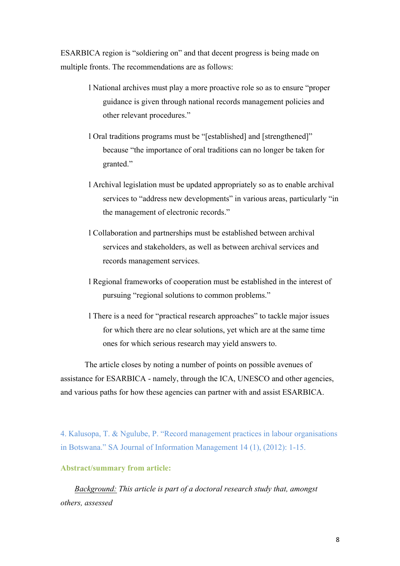ESARBICA region is "soldiering on" and that decent progress is being made on multiple fronts. The recommendations are as follows:

- l National archives must play a more proactive role so as to ensure "proper guidance is given through national records management policies and other relevant procedures."
- l Oral traditions programs must be "[established] and [strengthened]" because "the importance of oral traditions can no longer be taken for granted."
- l Archival legislation must be updated appropriately so as to enable archival services to "address new developments" in various areas, particularly "in the management of electronic records."
- l Collaboration and partnerships must be established between archival services and stakeholders, as well as between archival services and records management services.
- l Regional frameworks of cooperation must be established in the interest of pursuing "regional solutions to common problems."
- l There is a need for "practical research approaches" to tackle major issues for which there are no clear solutions, yet which are at the same time ones for which serious research may yield answers to.

The article closes by noting a number of points on possible avenues of assistance for ESARBICA - namely, through the ICA, UNESCO and other agencies, and various paths for how these agencies can partner with and assist ESARBICA.

4. Kalusopa, T. & Ngulube, P. "Record management practices in labour organisations in Botswana." SA Journal of Information Management 14 (1), (2012): 1-15.

### **Abstract/summary from article:**

*Background: This article is part of a doctoral research study that, amongst others, assessed*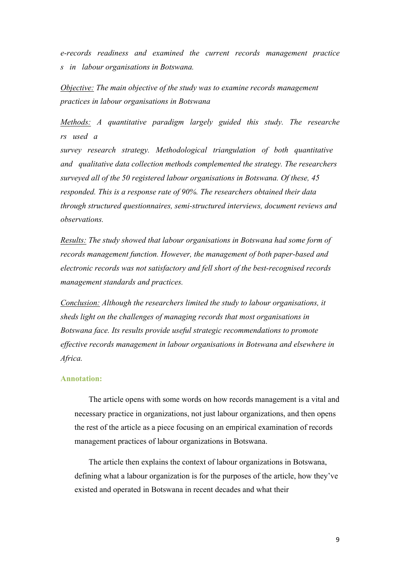*e-records readiness and examined the current records management practice s in labour organisations in Botswana.*

*Objective: The main objective of the study was to examine records management practices in labour organisations in Botswana*

*Methods: A quantitative paradigm largely guided this study. The researche rs used a* 

*survey research strategy. Methodological triangulation of both quantitative and qualitative data collection methods complemented the strategy. The researchers surveyed all of the 50 registered labour organisations in Botswana. Of these, 45 responded. This is a response rate of 90%. The researchers obtained their data through structured questionnaires, semi-structured interviews, document reviews and observations.* 

*Results: The study showed that labour organisations in Botswana had some form of records management function. However, the management of both paper-based and electronic records was not satisfactory and fell short of the best-recognised records management standards and practices.*

*Conclusion: Although the researchers limited the study to labour organisations, it sheds light on the challenges of managing records that most organisations in Botswana face. Its results provide useful strategic recommendations to promote effective records management in labour organisations in Botswana and elsewhere in Africa.*

# **Annotation:**

The article opens with some words on how records management is a vital and necessary practice in organizations, not just labour organizations, and then opens the rest of the article as a piece focusing on an empirical examination of records management practices of labour organizations in Botswana.

The article then explains the context of labour organizations in Botswana, defining what a labour organization is for the purposes of the article, how they've existed and operated in Botswana in recent decades and what their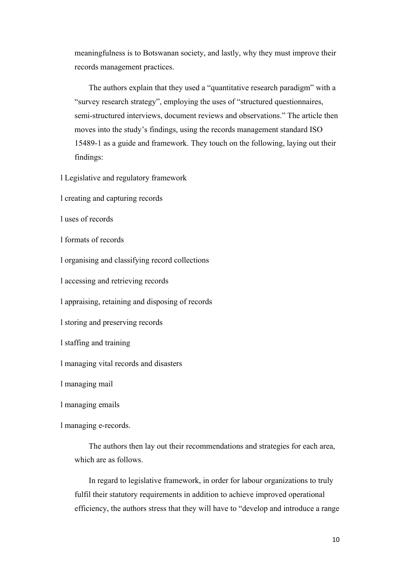meaningfulness is to Botswanan society, and lastly, why they must improve their records management practices.

The authors explain that they used a "quantitative research paradigm" with a "survey research strategy", employing the uses of "structured questionnaires, semi-structured interviews, document reviews and observations." The article then moves into the study's findings, using the records management standard ISO 15489-1 as a guide and framework. They touch on the following, laying out their findings:

l Legislative and regulatory framework

l creating and capturing records

l uses of records

l formats of records

l organising and classifying record collections

l accessing and retrieving records

l appraising, retaining and disposing of records

l storing and preserving records

l staffing and training

l managing vital records and disasters

l managing mail

l managing emails

l managing e-records.

The authors then lay out their recommendations and strategies for each area, which are as follows.

In regard to legislative framework, in order for labour organizations to truly fulfil their statutory requirements in addition to achieve improved operational efficiency, the authors stress that they will have to "develop and introduce a range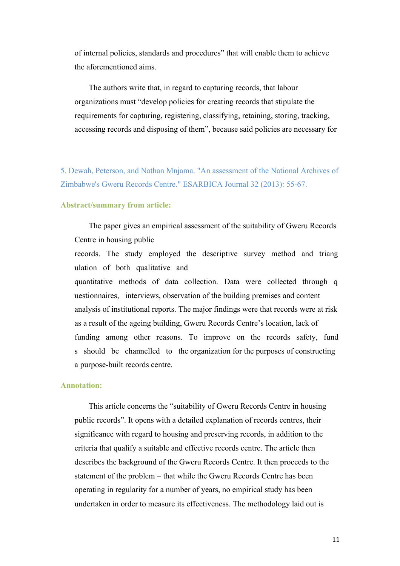of internal policies, standards and procedures" that will enable them to achieve the aforementioned aims.

The authors write that, in regard to capturing records, that labour organizations must "develop policies for creating records that stipulate the requirements for capturing, registering, classifying, retaining, storing, tracking, accessing records and disposing of them", because said policies are necessary for

5. Dewah, Peterson, and Nathan Mnjama. "An assessment of the National Archives of Zimbabwe's Gweru Records Centre." ESARBICA Journal 32 (2013): 55-67.

#### **Abstract/summary from article:**

The paper gives an empirical assessment of the suitability of Gweru Records Centre in housing public

records. The study employed the descriptive survey method and triang ulation of both qualitative and

quantitative methods of data collection. Data were collected through q uestionnaires, interviews, observation of the building premises and content analysis of institutional reports. The major findings were that records were at risk as a result of the ageing building, Gweru Records Centre's location, lack of funding among other reasons. To improve on the records safety, fund s should be channelled to the organization for the purposes of constructing a purpose-built records centre.

#### **Annotation:**

This article concerns the "suitability of Gweru Records Centre in housing public records". It opens with a detailed explanation of records centres, their significance with regard to housing and preserving records, in addition to the criteria that qualify a suitable and effective records centre. The article then describes the background of the Gweru Records Centre. It then proceeds to the statement of the problem – that while the Gweru Records Centre has been operating in regularity for a number of years, no empirical study has been undertaken in order to measure its effectiveness. The methodology laid out is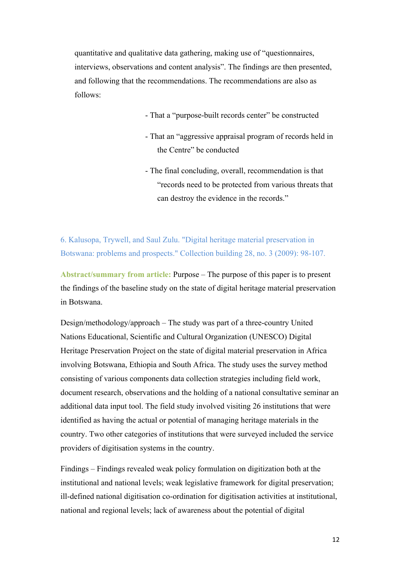quantitative and qualitative data gathering, making use of "questionnaires, interviews, observations and content analysis". The findings are then presented, and following that the recommendations. The recommendations are also as follows:

- That a "purpose-built records center" be constructed
- That an "aggressive appraisal program of records held in the Centre" be conducted
- The final concluding, overall, recommendation is that "records need to be protected from various threats that can destroy the evidence in the records."

6. Kalusopa, Trywell, and Saul Zulu. "Digital heritage material preservation in Botswana: problems and prospects." Collection building 28, no. 3 (2009): 98-107.

**Abstract/summary from article:** Purpose – The purpose of this paper is to present the findings of the baseline study on the state of digital heritage material preservation in Botswana.

Design/methodology/approach – The study was part of a three-country United Nations Educational, Scientific and Cultural Organization (UNESCO) Digital Heritage Preservation Project on the state of digital material preservation in Africa involving Botswana, Ethiopia and South Africa. The study uses the survey method consisting of various components data collection strategies including field work, document research, observations and the holding of a national consultative seminar an additional data input tool. The field study involved visiting 26 institutions that were identified as having the actual or potential of managing heritage materials in the country. Two other categories of institutions that were surveyed included the service providers of digitisation systems in the country.

Findings – Findings revealed weak policy formulation on digitization both at the institutional and national levels; weak legislative framework for digital preservation; ill-defined national digitisation co-ordination for digitisation activities at institutional, national and regional levels; lack of awareness about the potential of digital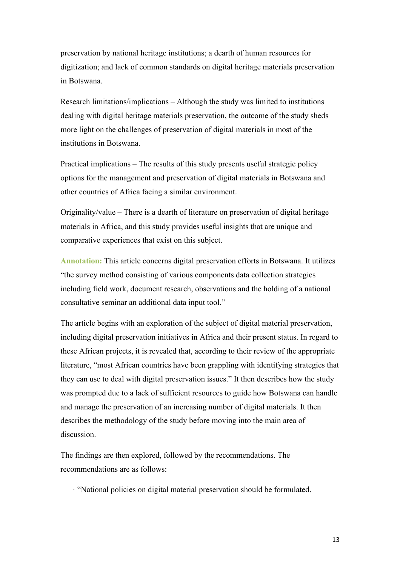preservation by national heritage institutions; a dearth of human resources for digitization; and lack of common standards on digital heritage materials preservation in Botswana.

Research limitations/implications – Although the study was limited to institutions dealing with digital heritage materials preservation, the outcome of the study sheds more light on the challenges of preservation of digital materials in most of the institutions in Botswana.

Practical implications – The results of this study presents useful strategic policy options for the management and preservation of digital materials in Botswana and other countries of Africa facing a similar environment.

Originality/value – There is a dearth of literature on preservation of digital heritage materials in Africa, and this study provides useful insights that are unique and comparative experiences that exist on this subject.

**Annotation:** This article concerns digital preservation efforts in Botswana. It utilizes "the survey method consisting of various components data collection strategies including field work, document research, observations and the holding of a national consultative seminar an additional data input tool."

The article begins with an exploration of the subject of digital material preservation, including digital preservation initiatives in Africa and their present status. In regard to these African projects, it is revealed that, according to their review of the appropriate literature, "most African countries have been grappling with identifying strategies that they can use to deal with digital preservation issues." It then describes how the study was prompted due to a lack of sufficient resources to guide how Botswana can handle and manage the preservation of an increasing number of digital materials. It then describes the methodology of the study before moving into the main area of discussion.

The findings are then explored, followed by the recommendations. The recommendations are as follows:

· "National policies on digital material preservation should be formulated.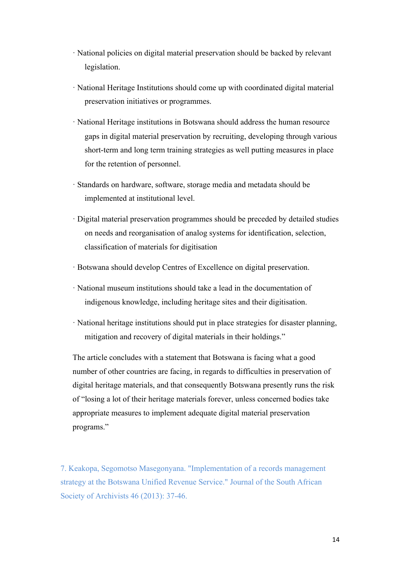- · National policies on digital material preservation should be backed by relevant legislation.
- · National Heritage Institutions should come up with coordinated digital material preservation initiatives or programmes.
- · National Heritage institutions in Botswana should address the human resource gaps in digital material preservation by recruiting, developing through various short-term and long term training strategies as well putting measures in place for the retention of personnel.
- · Standards on hardware, software, storage media and metadata should be implemented at institutional level.
- · Digital material preservation programmes should be preceded by detailed studies on needs and reorganisation of analog systems for identification, selection, classification of materials for digitisation
- · Botswana should develop Centres of Excellence on digital preservation.
- · National museum institutions should take a lead in the documentation of indigenous knowledge, including heritage sites and their digitisation.
- · National heritage institutions should put in place strategies for disaster planning, mitigation and recovery of digital materials in their holdings."

The article concludes with a statement that Botswana is facing what a good number of other countries are facing, in regards to difficulties in preservation of digital heritage materials, and that consequently Botswana presently runs the risk of "losing a lot of their heritage materials forever, unless concerned bodies take appropriate measures to implement adequate digital material preservation programs."

7. Keakopa, Segomotso Masegonyana. "Implementation of a records management strategy at the Botswana Unified Revenue Service." Journal of the South African Society of Archivists 46 (2013): 37-46.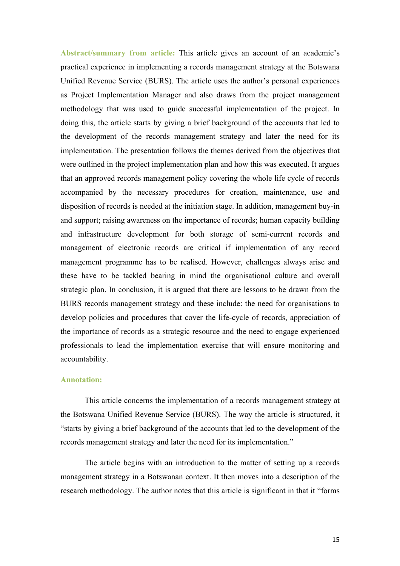**Abstract/summary from article:** This article gives an account of an academic's practical experience in implementing a records management strategy at the Botswana Unified Revenue Service (BURS). The article uses the author's personal experiences as Project Implementation Manager and also draws from the project management methodology that was used to guide successful implementation of the project. In doing this, the article starts by giving a brief background of the accounts that led to the development of the records management strategy and later the need for its implementation. The presentation follows the themes derived from the objectives that were outlined in the project implementation plan and how this was executed. It argues that an approved records management policy covering the whole life cycle of records accompanied by the necessary procedures for creation, maintenance, use and disposition of records is needed at the initiation stage. In addition, management buy-in and support; raising awareness on the importance of records; human capacity building and infrastructure development for both storage of semi-current records and management of electronic records are critical if implementation of any record management programme has to be realised. However, challenges always arise and these have to be tackled bearing in mind the organisational culture and overall strategic plan. In conclusion, it is argued that there are lessons to be drawn from the BURS records management strategy and these include: the need for organisations to develop policies and procedures that cover the life-cycle of records, appreciation of the importance of records as a strategic resource and the need to engage experienced professionals to lead the implementation exercise that will ensure monitoring and accountability.

## **Annotation:**

This article concerns the implementation of a records management strategy at the Botswana Unified Revenue Service (BURS). The way the article is structured, it "starts by giving a brief background of the accounts that led to the development of the records management strategy and later the need for its implementation."

The article begins with an introduction to the matter of setting up a records management strategy in a Botswanan context. It then moves into a description of the research methodology. The author notes that this article is significant in that it "forms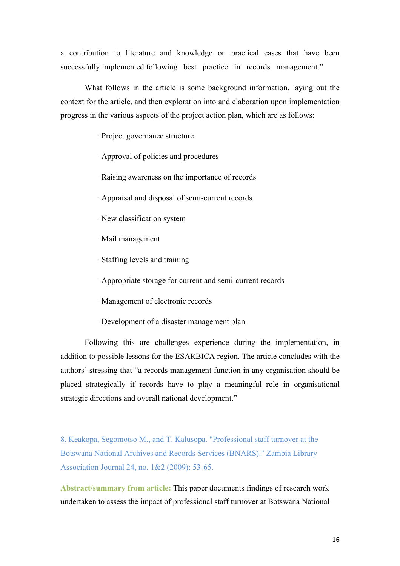a contribution to literature and knowledge on practical cases that have been successfully implemented following best practice in records management."

What follows in the article is some background information, laying out the context for the article, and then exploration into and elaboration upon implementation progress in the various aspects of the project action plan, which are as follows:

- · Project governance structure
- · Approval of policies and procedures
- · Raising awareness on the importance of records
- · Appraisal and disposal of semi-current records
- · New classification system
- · Mail management
- · Staffing levels and training
- · Appropriate storage for current and semi-current records
- · Management of electronic records
- · Development of a disaster management plan

Following this are challenges experience during the implementation, in addition to possible lessons for the ESARBICA region. The article concludes with the authors' stressing that "a records management function in any organisation should be placed strategically if records have to play a meaningful role in organisational strategic directions and overall national development."

8. Keakopa, Segomotso M., and T. Kalusopa. "Professional staff turnover at the Botswana National Archives and Records Services (BNARS)." Zambia Library Association Journal 24, no. 1&2 (2009): 53-65.

**Abstract/summary from article:** This paper documents findings of research work undertaken to assess the impact of professional staff turnover at Botswana National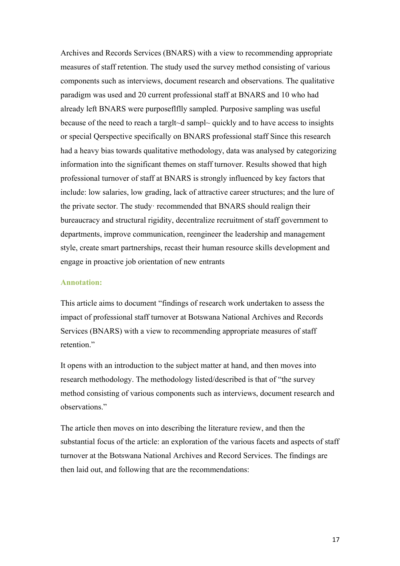Archives and Records Services (BNARS) with a view to recommending appropriate measures of staff retention. The study used the survey method consisting of various components such as interviews, document research and observations. The qualitative paradigm was used and 20 current professional staff at BNARS and 10 who had already left BNARS were purposeflflly sampled. Purposive sampling was useful because of the need to reach a targlt~d sampl~ quickly and to have access to insights or special Qerspective specifically on BNARS professional staff Since this research had a heavy bias towards qualitative methodology, data was analysed by categorizing information into the significant themes on staff turnover. Results showed that high professional turnover of staff at BNARS is strongly influenced by key factors that include: low salaries, low grading, lack of attractive career structures; and the lure of the private sector. The study· recommended that BNARS should realign their bureaucracy and structural rigidity, decentralize recruitment of staff government to departments, improve communication, reengineer the leadership and management style, create smart partnerships, recast their human resource skills development and engage in proactive job orientation of new entrants

#### **Annotation:**

This article aims to document "findings of research work undertaken to assess the impact of professional staff turnover at Botswana National Archives and Records Services (BNARS) with a view to recommending appropriate measures of staff retention"

It opens with an introduction to the subject matter at hand, and then moves into research methodology. The methodology listed/described is that of "the survey method consisting of various components such as interviews, document research and observations."

The article then moves on into describing the literature review, and then the substantial focus of the article: an exploration of the various facets and aspects of staff turnover at the Botswana National Archives and Record Services. The findings are then laid out, and following that are the recommendations: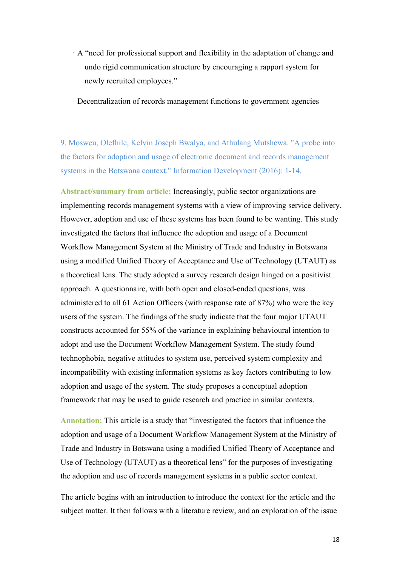- · A "need for professional support and flexibility in the adaptation of change and undo rigid communication structure by encouraging a rapport system for newly recruited employees."
- · Decentralization of records management functions to government agencies

9. Mosweu, Olefhile, Kelvin Joseph Bwalya, and Athulang Mutshewa. "A probe into the factors for adoption and usage of electronic document and records management systems in the Botswana context." Information Development (2016): 1-14.

**Abstract/summary from article:** Increasingly, public sector organizations are implementing records management systems with a view of improving service delivery. However, adoption and use of these systems has been found to be wanting. This study investigated the factors that influence the adoption and usage of a Document Workflow Management System at the Ministry of Trade and Industry in Botswana using a modified Unified Theory of Acceptance and Use of Technology (UTAUT) as a theoretical lens. The study adopted a survey research design hinged on a positivist approach. A questionnaire, with both open and closed-ended questions, was administered to all 61 Action Officers (with response rate of 87%) who were the key users of the system. The findings of the study indicate that the four major UTAUT constructs accounted for 55% of the variance in explaining behavioural intention to adopt and use the Document Workflow Management System. The study found technophobia, negative attitudes to system use, perceived system complexity and incompatibility with existing information systems as key factors contributing to low adoption and usage of the system. The study proposes a conceptual adoption framework that may be used to guide research and practice in similar contexts.

**Annotation:** This article is a study that "investigated the factors that influence the adoption and usage of a Document Workflow Management System at the Ministry of Trade and Industry in Botswana using a modified Unified Theory of Acceptance and Use of Technology (UTAUT) as a theoretical lens" for the purposes of investigating the adoption and use of records management systems in a public sector context.

The article begins with an introduction to introduce the context for the article and the subject matter. It then follows with a literature review, and an exploration of the issue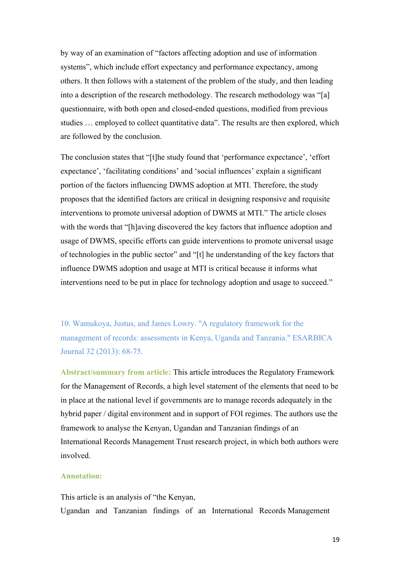by way of an examination of "factors affecting adoption and use of information systems", which include effort expectancy and performance expectancy, among others. It then follows with a statement of the problem of the study, and then leading into a description of the research methodology. The research methodology was "[a] questionnaire, with both open and closed-ended questions, modified from previous studies … employed to collect quantitative data". The results are then explored, which are followed by the conclusion.

The conclusion states that "[t]he study found that 'performance expectance', 'effort expectance', 'facilitating conditions' and 'social influences' explain a significant portion of the factors influencing DWMS adoption at MTI. Therefore, the study proposes that the identified factors are critical in designing responsive and requisite interventions to promote universal adoption of DWMS at MTI." The article closes with the words that "[h]aving discovered the key factors that influence adoption and usage of DWMS, specific efforts can guide interventions to promote universal usage of technologies in the public sector" and "[t] he understanding of the key factors that influence DWMS adoption and usage at MTI is critical because it informs what interventions need to be put in place for technology adoption and usage to succeed."

10. Wamukoya, Justus, and James Lowry. "A regulatory framework for the management of records: assessments in Kenya, Uganda and Tanzania." ESARBICA Journal 32 (2013): 68-75.

**Abstract/summary from article:** This article introduces the Regulatory Framework for the Management of Records, a high level statement of the elements that need to be in place at the national level if governments are to manage records adequately in the hybrid paper / digital environment and in support of FOI regimes. The authors use the framework to analyse the Kenyan, Ugandan and Tanzanian findings of an International Records Management Trust research project, in which both authors were involved.

#### **Annotation:**

This article is an analysis of "the Kenyan, Ugandan and Tanzanian findings of an International Records Management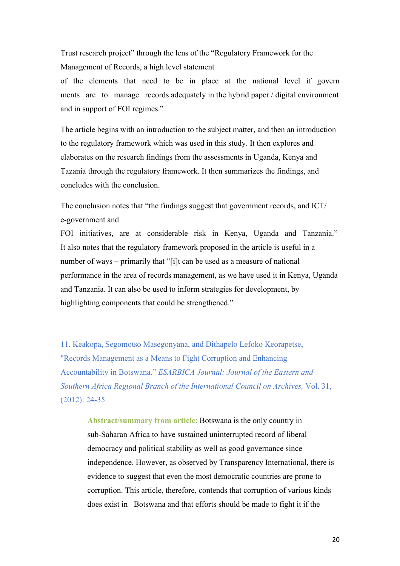Trust research project" through the lens of the "Regulatory Framework for the Management of Records, a high level statement

of the elements that need to be in place at the national level if govern ments are to manage records adequately in the hybrid paper / digital environment and in support of FOI regimes."

The article begins with an introduction to the subject matter, and then an introduction to the regulatory framework which was used in this study. It then explores and elaborates on the research findings from the assessments in Uganda, Kenya and Tazania through the regulatory framework. It then summarizes the findings, and concludes with the conclusion.

The conclusion notes that "the findings suggest that government records, and ICT/ e-government and

FOI initiatives, are at considerable risk in Kenya, Uganda and Tanzania." It also notes that the regulatory framework proposed in the article is useful in a number of ways – primarily that "[i]t can be used as a measure of national performance in the area of records management, as we have used it in Kenya, Uganda and Tanzania. It can also be used to inform strategies for development, by highlighting components that could be strengthened."

11. Keakopa, Segomotso Masegonyana, and Dithapelo Lefoko Keorapetse, "Records Management as a Means to Fight Corruption and Enhancing Accountability in Botswana." *ESARBICA Journal: Journal of the Eastern and Southern Africa Regional Branch of the International Council on Archives,* Vol. 31, (2012): 24-35.

**Abstract/summary from article**: Botswana is the only country in sub-Saharan Africa to have sustained uninterrupted record of liberal democracy and political stability as well as good governance since independence. However, as observed by Transparency International, there is evidence to suggest that even the most democratic countries are prone to corruption. This article, therefore, contends that corruption of various kinds does exist in Botswana and that efforts should be made to fight it if the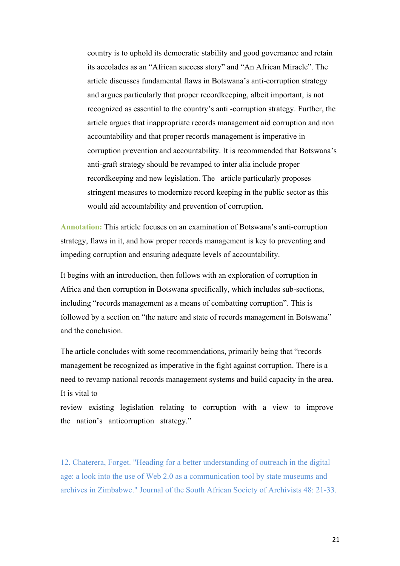country is to uphold its democratic stability and good governance and retain its accolades as an "African success story" and "An African Miracle". The article discusses fundamental flaws in Botswana's anti-corruption strategy and argues particularly that proper recordkeeping, albeit important, is not recognized as essential to the country's anti -corruption strategy. Further, the article argues that inappropriate records management aid corruption and non accountability and that proper records management is imperative in corruption prevention and accountability. It is recommended that Botswana's anti-graft strategy should be revamped to inter alia include proper recordkeeping and new legislation. The article particularly proposes stringent measures to modernize record keeping in the public sector as this would aid accountability and prevention of corruption.

**Annotation:** This article focuses on an examination of Botswana's anti-corruption strategy, flaws in it, and how proper records management is key to preventing and impeding corruption and ensuring adequate levels of accountability.

It begins with an introduction, then follows with an exploration of corruption in Africa and then corruption in Botswana specifically, which includes sub-sections, including "records management as a means of combatting corruption". This is followed by a section on "the nature and state of records management in Botswana" and the conclusion.

The article concludes with some recommendations, primarily being that "records management be recognized as imperative in the fight against corruption. There is a need to revamp national records management systems and build capacity in the area. It is vital to

review existing legislation relating to corruption with a view to improve the nation's anticorruption strategy."

12. Chaterera, Forget. "Heading for a better understanding of outreach in the digital age: a look into the use of Web 2.0 as a communication tool by state museums and archives in Zimbabwe." Journal of the South African Society of Archivists 48: 21-33.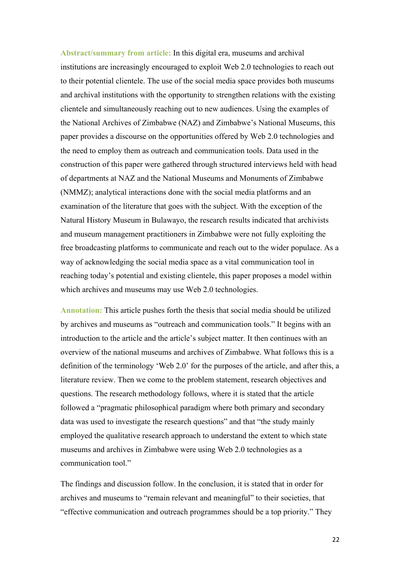**Abstract/summary from article:** In this digital era, museums and archival institutions are increasingly encouraged to exploit Web 2.0 technologies to reach out to their potential clientele. The use of the social media space provides both museums and archival institutions with the opportunity to strengthen relations with the existing clientele and simultaneously reaching out to new audiences. Using the examples of the National Archives of Zimbabwe (NAZ) and Zimbabwe's National Museums, this paper provides a discourse on the opportunities offered by Web 2.0 technologies and the need to employ them as outreach and communication tools. Data used in the construction of this paper were gathered through structured interviews held with head of departments at NAZ and the National Museums and Monuments of Zimbabwe (NMMZ); analytical interactions done with the social media platforms and an examination of the literature that goes with the subject. With the exception of the Natural History Museum in Bulawayo, the research results indicated that archivists and museum management practitioners in Zimbabwe were not fully exploiting the free broadcasting platforms to communicate and reach out to the wider populace. As a way of acknowledging the social media space as a vital communication tool in reaching today's potential and existing clientele, this paper proposes a model within which archives and museums may use Web 2.0 technologies.

**Annotation:** This article pushes forth the thesis that social media should be utilized by archives and museums as "outreach and communication tools." It begins with an introduction to the article and the article's subject matter. It then continues with an overview of the national museums and archives of Zimbabwe. What follows this is a definition of the terminology 'Web 2.0' for the purposes of the article, and after this, a literature review. Then we come to the problem statement, research objectives and questions. The research methodology follows, where it is stated that the article followed a "pragmatic philosophical paradigm where both primary and secondary data was used to investigate the research questions" and that "the study mainly employed the qualitative research approach to understand the extent to which state museums and archives in Zimbabwe were using Web 2.0 technologies as a communication tool."

The findings and discussion follow. In the conclusion, it is stated that in order for archives and museums to "remain relevant and meaningful" to their societies, that "effective communication and outreach programmes should be a top priority." They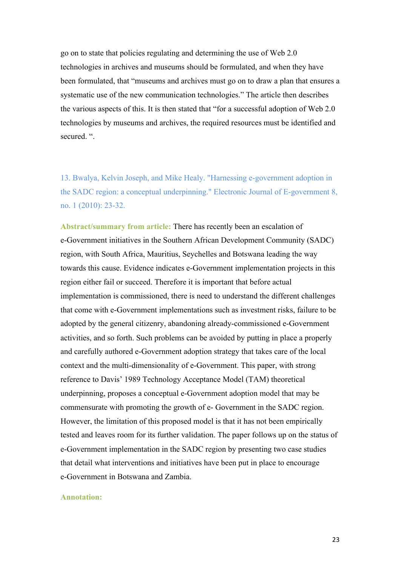go on to state that policies regulating and determining the use of Web 2.0 technologies in archives and museums should be formulated, and when they have been formulated, that "museums and archives must go on to draw a plan that ensures a systematic use of the new communication technologies." The article then describes the various aspects of this. It is then stated that "for a successful adoption of Web 2.0 technologies by museums and archives, the required resources must be identified and secured. ".

13. Bwalya, Kelvin Joseph, and Mike Healy. "Harnessing e-government adoption in the SADC region: a conceptual underpinning." Electronic Journal of E-government 8, no. 1 (2010): 23-32.

**Abstract/summary from article:** There has recently been an escalation of e-Government initiatives in the Southern African Development Community (SADC) region, with South Africa, Mauritius, Seychelles and Botswana leading the way towards this cause. Evidence indicates e-Government implementation projects in this region either fail or succeed. Therefore it is important that before actual implementation is commissioned, there is need to understand the different challenges that come with e-Government implementations such as investment risks, failure to be adopted by the general citizenry, abandoning already-commissioned e-Government activities, and so forth. Such problems can be avoided by putting in place a properly and carefully authored e-Government adoption strategy that takes care of the local context and the multi-dimensionality of e-Government. This paper, with strong reference to Davis' 1989 Technology Acceptance Model (TAM) theoretical underpinning, proposes a conceptual e-Government adoption model that may be commensurate with promoting the growth of e- Government in the SADC region. However, the limitation of this proposed model is that it has not been empirically tested and leaves room for its further validation. The paper follows up on the status of e-Government implementation in the SADC region by presenting two case studies that detail what interventions and initiatives have been put in place to encourage e-Government in Botswana and Zambia.

## **Annotation:**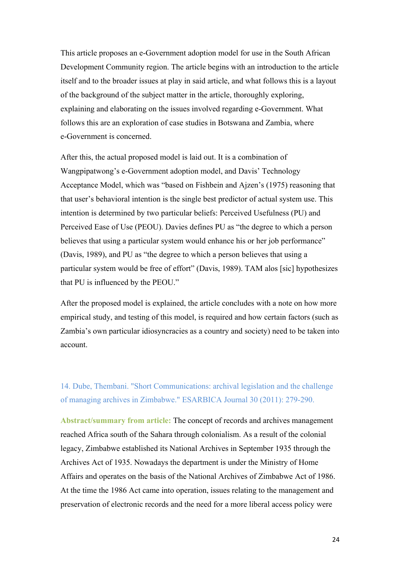This article proposes an e-Government adoption model for use in the South African Development Community region. The article begins with an introduction to the article itself and to the broader issues at play in said article, and what follows this is a layout of the background of the subject matter in the article, thoroughly exploring, explaining and elaborating on the issues involved regarding e-Government. What follows this are an exploration of case studies in Botswana and Zambia, where e-Government is concerned.

After this, the actual proposed model is laid out. It is a combination of Wangpipatwong's e-Government adoption model, and Davis' Technology Acceptance Model, which was "based on Fishbein and Ajzen's (1975) reasoning that that user's behavioral intention is the single best predictor of actual system use. This intention is determined by two particular beliefs: Perceived Usefulness (PU) and Perceived Ease of Use (PEOU). Davies defines PU as "the degree to which a person believes that using a particular system would enhance his or her job performance" (Davis, 1989), and PU as "the degree to which a person believes that using a particular system would be free of effort" (Davis, 1989). TAM alos [sic] hypothesizes that PU is influenced by the PEOU."

After the proposed model is explained, the article concludes with a note on how more empirical study, and testing of this model, is required and how certain factors (such as Zambia's own particular idiosyncracies as a country and society) need to be taken into account.

# 14. Dube, Thembani. "Short Communications: archival legislation and the challenge of managing archives in Zimbabwe." ESARBICA Journal 30 (2011): 279-290.

**Abstract/summary from article:** The concept of records and archives management reached Africa south of the Sahara through colonialism. As a result of the colonial legacy, Zimbabwe established its National Archives in September 1935 through the Archives Act of 1935. Nowadays the department is under the Ministry of Home Affairs and operates on the basis of the National Archives of Zimbabwe Act of 1986. At the time the 1986 Act came into operation, issues relating to the management and preservation of electronic records and the need for a more liberal access policy were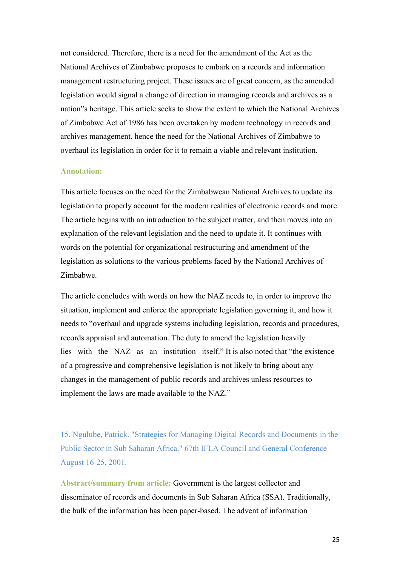not considered. Therefore, there is a need for the amendment of the Act as the National Archives of Zimbabwe proposes to embark on a records and information management restructuring project. These issues are of great concern, as the amended legislation would signal a change of direction in managing records and archives as a nation"s heritage. This article seeks to show the extent to which the National Archives of Zimbabwe Act of 1986 has been overtaken by modern technology in records and archives management, hence the need for the National Archives of Zimbabwe to overhaul its legislation in order for it to remain a viable and relevant institution.

#### **Annotation:**

This article focuses on the need for the Zimbabwean National Archives to update its legislation to properly account for the modern realities of electronic records and more. The article begins with an introduction to the subject matter, and then moves into an explanation of the relevant legislation and the need to update it. It continues with words on the potential for organizational restructuring and amendment of the legislation as solutions to the various problems faced by the National Archives of Zimbabwe.

The article concludes with words on how the NAZ needs to, in order to improve the situation, implement and enforce the appropriate legislation governing it, and how it needs to "overhaul and upgrade systems including legislation, records and procedures, records appraisal and automation. The duty to amend the legislation heavily lies with the NAZ as an institution itself." It is also noted that "the existence of a progressive and comprehensive legislation is not likely to bring about any changes in the management of public records and archives unless resources to implement the laws are made available to the NAZ."

15. Ngulube, Patrick. "Strategies for Managing Digital Records and Documents in the Public Sector in Sub Saharan Africa." 67th IFLA Council and General Conference August 16-25, 2001.

**Abstract/summary from article:** Government is the largest collector and disseminator of records and documents in Sub Saharan Africa (SSA). Traditionally, the bulk of the information has been paper-based. The advent of information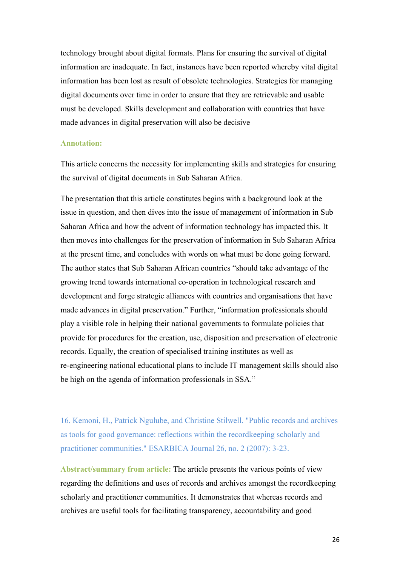technology brought about digital formats. Plans for ensuring the survival of digital information are inadequate. In fact, instances have been reported whereby vital digital information has been lost as result of obsolete technologies. Strategies for managing digital documents over time in order to ensure that they are retrievable and usable must be developed. Skills development and collaboration with countries that have made advances in digital preservation will also be decisive

#### **Annotation:**

This article concerns the necessity for implementing skills and strategies for ensuring the survival of digital documents in Sub Saharan Africa.

The presentation that this article constitutes begins with a background look at the issue in question, and then dives into the issue of management of information in Sub Saharan Africa and how the advent of information technology has impacted this. It then moves into challenges for the preservation of information in Sub Saharan Africa at the present time, and concludes with words on what must be done going forward. The author states that Sub Saharan African countries "should take advantage of the growing trend towards international co-operation in technological research and development and forge strategic alliances with countries and organisations that have made advances in digital preservation." Further, "information professionals should play a visible role in helping their national governments to formulate policies that provide for procedures for the creation, use, disposition and preservation of electronic records. Equally, the creation of specialised training institutes as well as re-engineering national educational plans to include IT management skills should also be high on the agenda of information professionals in SSA."

16. Kemoni, H., Patrick Ngulube, and Christine Stilwell. "Public records and archives as tools for good governance: reflections within the recordkeeping scholarly and practitioner communities." ESARBICA Journal 26, no. 2 (2007): 3-23.

**Abstract/summary from article:** The article presents the various points of view regarding the definitions and uses of records and archives amongst the recordkeeping scholarly and practitioner communities. It demonstrates that whereas records and archives are useful tools for facilitating transparency, accountability and good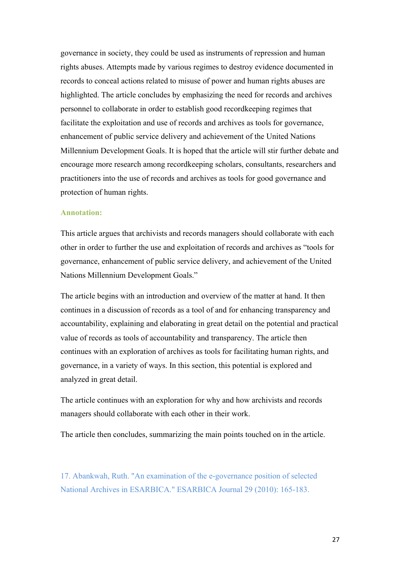governance in society, they could be used as instruments of repression and human rights abuses. Attempts made by various regimes to destroy evidence documented in records to conceal actions related to misuse of power and human rights abuses are highlighted. The article concludes by emphasizing the need for records and archives personnel to collaborate in order to establish good recordkeeping regimes that facilitate the exploitation and use of records and archives as tools for governance, enhancement of public service delivery and achievement of the United Nations Millennium Development Goals. It is hoped that the article will stir further debate and encourage more research among recordkeeping scholars, consultants, researchers and practitioners into the use of records and archives as tools for good governance and protection of human rights.

#### **Annotation:**

This article argues that archivists and records managers should collaborate with each other in order to further the use and exploitation of records and archives as "tools for governance, enhancement of public service delivery, and achievement of the United Nations Millennium Development Goals."

The article begins with an introduction and overview of the matter at hand. It then continues in a discussion of records as a tool of and for enhancing transparency and accountability, explaining and elaborating in great detail on the potential and practical value of records as tools of accountability and transparency. The article then continues with an exploration of archives as tools for facilitating human rights, and governance, in a variety of ways. In this section, this potential is explored and analyzed in great detail.

The article continues with an exploration for why and how archivists and records managers should collaborate with each other in their work.

The article then concludes, summarizing the main points touched on in the article.

17. Abankwah, Ruth. "An examination of the e-governance position of selected National Archives in ESARBICA." ESARBICA Journal 29 (2010): 165-183.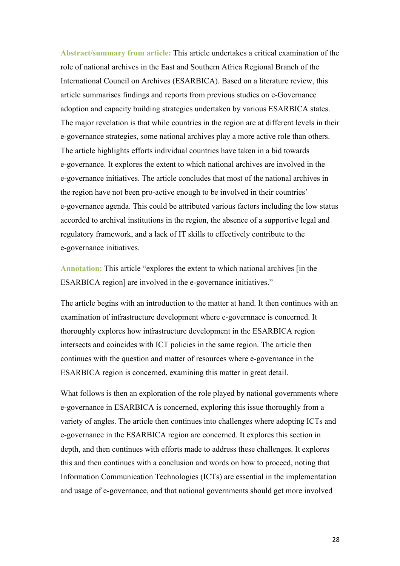**Abstract/summary from article:** This article undertakes a critical examination of the role of national archives in the East and Southern Africa Regional Branch of the International Council on Archives (ESARBICA). Based on a literature review, this article summarises findings and reports from previous studies on e-Governance adoption and capacity building strategies undertaken by various ESARBICA states. The major revelation is that while countries in the region are at different levels in their e-governance strategies, some national archives play a more active role than others. The article highlights efforts individual countries have taken in a bid towards e-governance. It explores the extent to which national archives are involved in the e-governance initiatives. The article concludes that most of the national archives in the region have not been pro-active enough to be involved in their countries' e-governance agenda. This could be attributed various factors including the low status accorded to archival institutions in the region, the absence of a supportive legal and regulatory framework, and a lack of IT skills to effectively contribute to the e-governance initiatives.

**Annotation:** This article "explores the extent to which national archives [in the ESARBICA region] are involved in the e-governance initiatives."

The article begins with an introduction to the matter at hand. It then continues with an examination of infrastructure development where e-governnace is concerned. It thoroughly explores how infrastructure development in the ESARBICA region intersects and coincides with ICT policies in the same region. The article then continues with the question and matter of resources where e-governance in the ESARBICA region is concerned, examining this matter in great detail.

What follows is then an exploration of the role played by national governments where e-governance in ESARBICA is concerned, exploring this issue thoroughly from a variety of angles. The article then continues into challenges where adopting ICTs and e-governance in the ESARBICA region are concerned. It explores this section in depth, and then continues with efforts made to address these challenges. It explores this and then continues with a conclusion and words on how to proceed, noting that Information Communication Technologies (ICTs) are essential in the implementation and usage of e-governance, and that national governments should get more involved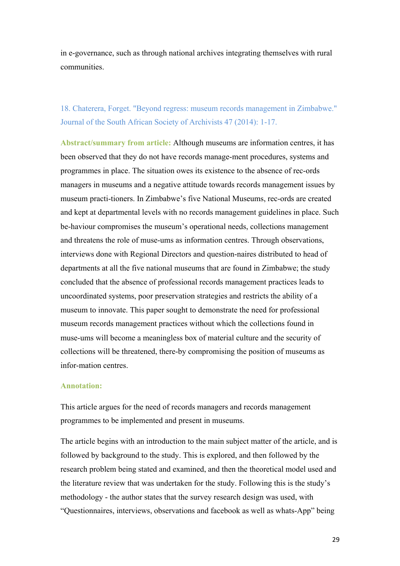in e-governance, such as through national archives integrating themselves with rural communities.

# 18. Chaterera, Forget. "Beyond regress: museum records management in Zimbabwe." Journal of the South African Society of Archivists 47 (2014): 1-17.

**Abstract/summary from article:** Although museums are information centres, it has been observed that they do not have records manage-ment procedures, systems and programmes in place. The situation owes its existence to the absence of rec-ords managers in museums and a negative attitude towards records management issues by museum practi-tioners. In Zimbabwe's five National Museums, rec-ords are created and kept at departmental levels with no records management guidelines in place. Such be-haviour compromises the museum's operational needs, collections management and threatens the role of muse-ums as information centres. Through observations, interviews done with Regional Directors and question-naires distributed to head of departments at all the five national museums that are found in Zimbabwe; the study concluded that the absence of professional records management practices leads to uncoordinated systems, poor preservation strategies and restricts the ability of a museum to innovate. This paper sought to demonstrate the need for professional museum records management practices without which the collections found in muse-ums will become a meaningless box of material culture and the security of collections will be threatened, there-by compromising the position of museums as infor-mation centres.

## **Annotation:**

This article argues for the need of records managers and records management programmes to be implemented and present in museums.

The article begins with an introduction to the main subject matter of the article, and is followed by background to the study. This is explored, and then followed by the research problem being stated and examined, and then the theoretical model used and the literature review that was undertaken for the study. Following this is the study's methodology - the author states that the survey research design was used, with "Questionnaires, interviews, observations and facebook as well as whats-App" being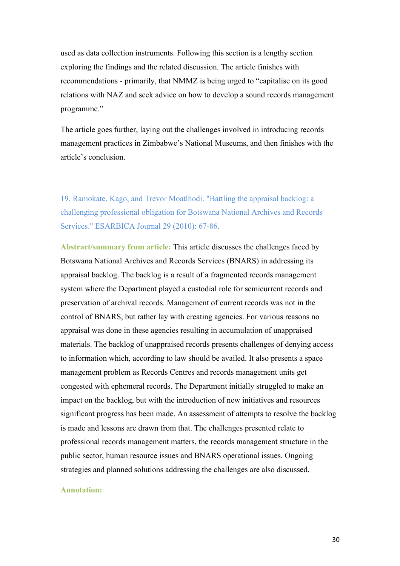used as data collection instruments. Following this section is a lengthy section exploring the findings and the related discussion. The article finishes with recommendations - primarily, that NMMZ is being urged to "capitalise on its good relations with NAZ and seek advice on how to develop a sound records management programme."

The article goes further, laying out the challenges involved in introducing records management practices in Zimbabwe's National Museums, and then finishes with the article's conclusion.

19. Ramokate, Kago, and Trevor Moatlhodi. "Battling the appraisal backlog: a challenging professional obligation for Botswana National Archives and Records Services." ESARBICA Journal 29 (2010): 67-86.

**Abstract/summary from article:** This article discusses the challenges faced by Botswana National Archives and Records Services (BNARS) in addressing its appraisal backlog. The backlog is a result of a fragmented records management system where the Department played a custodial role for semicurrent records and preservation of archival records. Management of current records was not in the control of BNARS, but rather lay with creating agencies. For various reasons no appraisal was done in these agencies resulting in accumulation of unappraised materials. The backlog of unappraised records presents challenges of denying access to information which, according to law should be availed. It also presents a space management problem as Records Centres and records management units get congested with ephemeral records. The Department initially struggled to make an impact on the backlog, but with the introduction of new initiatives and resources significant progress has been made. An assessment of attempts to resolve the backlog is made and lessons are drawn from that. The challenges presented relate to professional records management matters, the records management structure in the public sector, human resource issues and BNARS operational issues. Ongoing strategies and planned solutions addressing the challenges are also discussed.

# **Annotation:**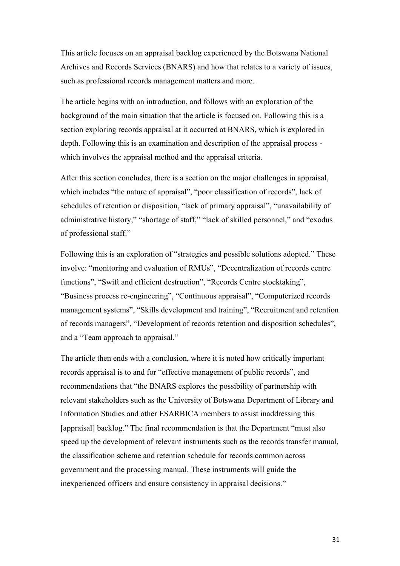This article focuses on an appraisal backlog experienced by the Botswana National Archives and Records Services (BNARS) and how that relates to a variety of issues, such as professional records management matters and more.

The article begins with an introduction, and follows with an exploration of the background of the main situation that the article is focused on. Following this is a section exploring records appraisal at it occurred at BNARS, which is explored in depth. Following this is an examination and description of the appraisal process which involves the appraisal method and the appraisal criteria.

After this section concludes, there is a section on the major challenges in appraisal, which includes "the nature of appraisal", "poor classification of records", lack of schedules of retention or disposition, "lack of primary appraisal", "unavailability of administrative history," "shortage of staff," "lack of skilled personnel," and "exodus of professional staff."

Following this is an exploration of "strategies and possible solutions adopted." These involve: "monitoring and evaluation of RMUs", "Decentralization of records centre functions", "Swift and efficient destruction", "Records Centre stocktaking", "Business process re-engineering", "Continuous appraisal", "Computerized records management systems", "Skills development and training", "Recruitment and retention of records managers", "Development of records retention and disposition schedules", and a "Team approach to appraisal."

The article then ends with a conclusion, where it is noted how critically important records appraisal is to and for "effective management of public records", and recommendations that "the BNARS explores the possibility of partnership with relevant stakeholders such as the University of Botswana Department of Library and Information Studies and other ESARBICA members to assist inaddressing this [appraisal] backlog." The final recommendation is that the Department "must also speed up the development of relevant instruments such as the records transfer manual, the classification scheme and retention schedule for records common across government and the processing manual. These instruments will guide the inexperienced officers and ensure consistency in appraisal decisions."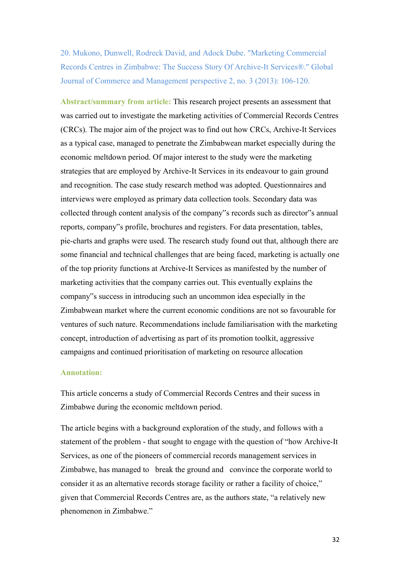20. Mukono, Dunwell, Rodreck David, and Adock Dube. "Marketing Commercial Records Centres in Zimbabwe: The Success Story Of Archive-It Services®." Global Journal of Commerce and Management perspective 2, no. 3 (2013): 106-120.

**Abstract/summary from article:** This research project presents an assessment that was carried out to investigate the marketing activities of Commercial Records Centres (CRCs). The major aim of the project was to find out how CRCs, Archive-It Services as a typical case, managed to penetrate the Zimbabwean market especially during the economic meltdown period. Of major interest to the study were the marketing strategies that are employed by Archive-It Services in its endeavour to gain ground and recognition. The case study research method was adopted. Questionnaires and interviews were employed as primary data collection tools. Secondary data was collected through content analysis of the company"s records such as director"s annual reports, company"s profile, brochures and registers. For data presentation, tables, pie-charts and graphs were used. The research study found out that, although there are some financial and technical challenges that are being faced, marketing is actually one of the top priority functions at Archive-It Services as manifested by the number of marketing activities that the company carries out. This eventually explains the company"s success in introducing such an uncommon idea especially in the Zimbabwean market where the current economic conditions are not so favourable for ventures of such nature. Recommendations include familiarisation with the marketing concept, introduction of advertising as part of its promotion toolkit, aggressive campaigns and continued prioritisation of marketing on resource allocation

# **Annotation:**

This article concerns a study of Commercial Records Centres and their sucess in Zimbabwe during the economic meltdown period.

The article begins with a background exploration of the study, and follows with a statement of the problem - that sought to engage with the question of "how Archive-It Services, as one of the pioneers of commercial records management services in Zimbabwe, has managed to break the ground and convince the corporate world to consider it as an alternative records storage facility or rather a facility of choice," given that Commercial Records Centres are, as the authors state, "a relatively new phenomenon in Zimbabwe."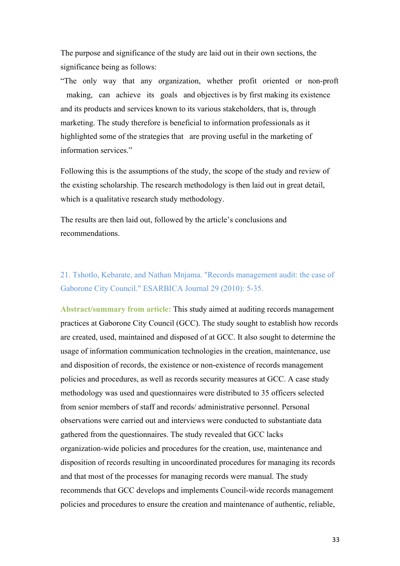The purpose and significance of the study are laid out in their own sections, the significance being as follows:

"The only way that any organization, whether profit oriented or non-proft making, can achieve its goals and objectives is by first making its existence and its products and services known to its various stakeholders, that is, through marketing. The study therefore is beneficial to information professionals as it highlighted some of the strategies that are proving useful in the marketing of information services."

Following this is the assumptions of the study, the scope of the study and review of the existing scholarship. The research methodology is then laid out in great detail, which is a qualitative research study methodology.

The results are then laid out, followed by the article's conclusions and recommendations.

# 21. Tshotlo, Kebarate, and Nathan Mnjama. "Records management audit: the case of Gaborone City Council." ESARBICA Journal 29 (2010): 5-35.

**Abstract/summary from article:** This study aimed at auditing records management practices at Gaborone City Council (GCC). The study sought to establish how records are created, used, maintained and disposed of at GCC. It also sought to determine the usage of information communication technologies in the creation, maintenance, use and disposition of records, the existence or non-existence of records management policies and procedures, as well as records security measures at GCC. A case study methodology was used and questionnaires were distributed to 35 officers selected from senior members of staff and records/ administrative personnel. Personal observations were carried out and interviews were conducted to substantiate data gathered from the questionnaires. The study revealed that GCC lacks organization-wide policies and procedures for the creation, use, maintenance and disposition of records resulting in uncoordinated procedures for managing its records and that most of the processes for managing records were manual. The study recommends that GCC develops and implements Council-wide records management policies and procedures to ensure the creation and maintenance of authentic, reliable,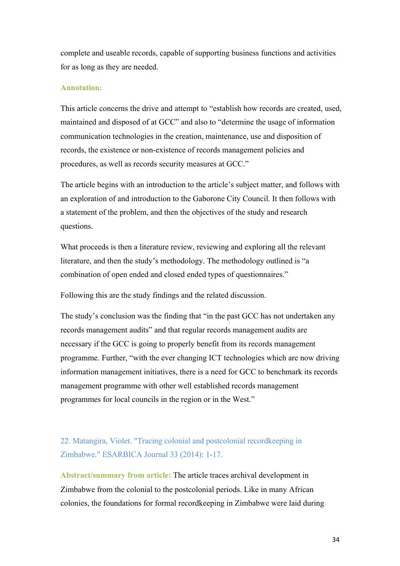complete and useable records, capable of supporting business functions and activities for as long as they are needed.

### **Annotation:**

This article concerns the drive and attempt to "establish how records are created, used, maintained and disposed of at GCC" and also to "determine the usage of information communication technologies in the creation, maintenance, use and disposition of records, the existence or non-existence of records management policies and procedures, as well as records security measures at GCC."

The article begins with an introduction to the article's subject matter, and follows with an exploration of and introduction to the Gaborone City Council. It then follows with a statement of the problem, and then the objectives of the study and research questions.

What proceeds is then a literature review, reviewing and exploring all the relevant literature, and then the study's methodology. The methodology outlined is "a combination of open ended and closed ended types of questionnaires."

Following this are the study findings and the related discussion.

The study's conclusion was the finding that "in the past GCC has not undertaken any records management audits" and that regular records management audits are necessary if the GCC is going to properly benefit from its records management programme. Further, "with the ever changing ICT technologies which are now driving information management initiatives, there is a need for GCC to benchmark its records management programme with other well established records management programmes for local councils in the region or in the West."

22. Matangira, Violet. "Tracing colonial and postcolonial recordkeeping in Zimbabwe." ESARBICA Journal 33 (2014): 1-17.

**Abstract/summary from article:** The article traces archival development in Zimbabwe from the colonial to the postcolonial periods. Like in many African colonies, the foundations for formal recordkeeping in Zimbabwe were laid during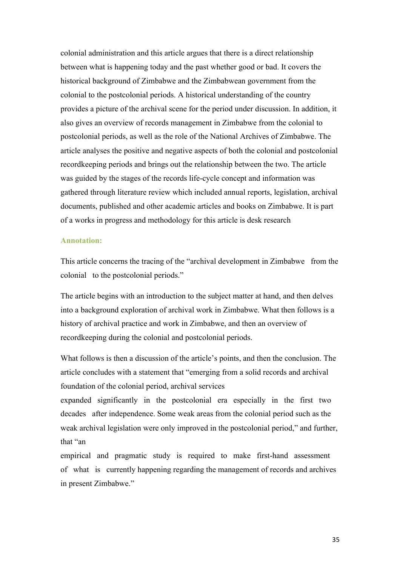colonial administration and this article argues that there is a direct relationship between what is happening today and the past whether good or bad. It covers the historical background of Zimbabwe and the Zimbabwean government from the colonial to the postcolonial periods. A historical understanding of the country provides a picture of the archival scene for the period under discussion. In addition, it also gives an overview of records management in Zimbabwe from the colonial to postcolonial periods, as well as the role of the National Archives of Zimbabwe. The article analyses the positive and negative aspects of both the colonial and postcolonial recordkeeping periods and brings out the relationship between the two. The article was guided by the stages of the records life-cycle concept and information was gathered through literature review which included annual reports, legislation, archival documents, published and other academic articles and books on Zimbabwe. It is part of a works in progress and methodology for this article is desk research

#### **Annotation:**

This article concerns the tracing of the "archival development in Zimbabwe from the colonial to the postcolonial periods."

The article begins with an introduction to the subject matter at hand, and then delves into a background exploration of archival work in Zimbabwe. What then follows is a history of archival practice and work in Zimbabwe, and then an overview of recordkeeping during the colonial and postcolonial periods.

What follows is then a discussion of the article's points, and then the conclusion. The article concludes with a statement that "emerging from a solid records and archival foundation of the colonial period, archival services

expanded significantly in the postcolonial era especially in the first two decades after independence. Some weak areas from the colonial period such as the weak archival legislation were only improved in the postcolonial period," and further, that "an

empirical and pragmatic study is required to make first-hand assessment of what is currently happening regarding the management of records and archives in present Zimbabwe."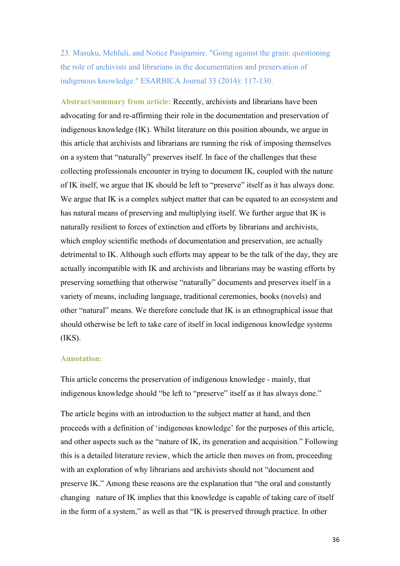23. Masuku, Mehluli, and Notice Pasipamire. "Going against the grain: questioning the role of archivists and librarians in the documentation and preservation of indigenous knowledge." ESARBICA Journal 33 (2014): 117-130.

**Abstract/summary from article:** Recently, archivists and librarians have been advocating for and re-affirming their role in the documentation and preservation of indigenous knowledge (IK). Whilst literature on this position abounds, we argue in this article that archivists and librarians are running the risk of imposing themselves on a system that "naturally" preserves itself. In face of the challenges that these collecting professionals encounter in trying to document IK, coupled with the nature of IK itself, we argue that IK should be left to "preserve" itself as it has always done. We argue that IK is a complex subject matter that can be equated to an ecosystem and has natural means of preserving and multiplying itself. We further argue that IK is naturally resilient to forces of extinction and efforts by librarians and archivists, which employ scientific methods of documentation and preservation, are actually detrimental to IK. Although such efforts may appear to be the talk of the day, they are actually incompatible with IK and archivists and librarians may be wasting efforts by preserving something that otherwise "naturally" documents and preserves itself in a variety of means, including language, traditional ceremonies, books (novels) and other "natural" means. We therefore conclude that IK is an ethnographical issue that should otherwise be left to take care of itself in local indigenous knowledge systems  $(IKS).$ 

#### **Annotation:**

This article concerns the preservation of indigenous knowledge - mainly, that indigenous knowledge should "be left to "preserve" itself as it has always done."

The article begins with an introduction to the subject matter at hand, and then proceeds with a definition of 'indigenous knowledge' for the purposes of this article, and other aspects such as the "nature of IK, its generation and acquisition." Following this is a detailed literature review, which the article then moves on from, proceeding with an exploration of why librarians and archivists should not "document and preserve IK." Among these reasons are the explanation that "the oral and constantly changing nature of IK implies that this knowledge is capable of taking care of itself in the form of a system," as well as that "IK is preserved through practice. In other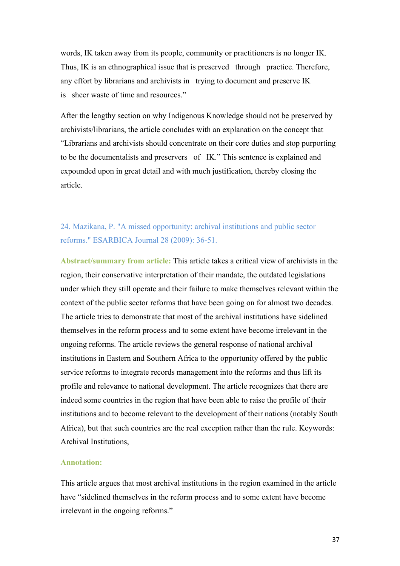words, IK taken away from its people, community or practitioners is no longer IK. Thus, IK is an ethnographical issue that is preserved through practice. Therefore, any effort by librarians and archivists in trying to document and preserve IK is sheer waste of time and resources."

After the lengthy section on why Indigenous Knowledge should not be preserved by archivists/librarians, the article concludes with an explanation on the concept that "Librarians and archivists should concentrate on their core duties and stop purporting to be the documentalists and preservers of IK." This sentence is explained and expounded upon in great detail and with much justification, thereby closing the article.

# 24. Mazikana, P. "A missed opportunity: archival institutions and public sector reforms." ESARBICA Journal 28 (2009): 36-51.

**Abstract/summary from article:** This article takes a critical view of archivists in the region, their conservative interpretation of their mandate, the outdated legislations under which they still operate and their failure to make themselves relevant within the context of the public sector reforms that have been going on for almost two decades. The article tries to demonstrate that most of the archival institutions have sidelined themselves in the reform process and to some extent have become irrelevant in the ongoing reforms. The article reviews the general response of national archival institutions in Eastern and Southern Africa to the opportunity offered by the public service reforms to integrate records management into the reforms and thus lift its profile and relevance to national development. The article recognizes that there are indeed some countries in the region that have been able to raise the profile of their institutions and to become relevant to the development of their nations (notably South Africa), but that such countries are the real exception rather than the rule. Keywords: Archival Institutions,

#### **Annotation:**

This article argues that most archival institutions in the region examined in the article have "sidelined themselves in the reform process and to some extent have become irrelevant in the ongoing reforms."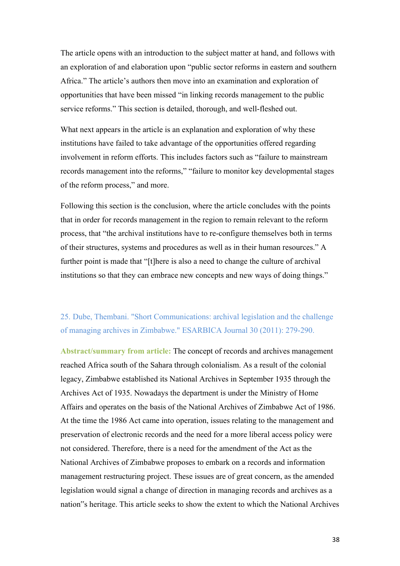The article opens with an introduction to the subject matter at hand, and follows with an exploration of and elaboration upon "public sector reforms in eastern and southern Africa." The article's authors then move into an examination and exploration of opportunities that have been missed "in linking records management to the public service reforms." This section is detailed, thorough, and well-fleshed out.

What next appears in the article is an explanation and exploration of why these institutions have failed to take advantage of the opportunities offered regarding involvement in reform efforts. This includes factors such as "failure to mainstream records management into the reforms," "failure to monitor key developmental stages of the reform process," and more.

Following this section is the conclusion, where the article concludes with the points that in order for records management in the region to remain relevant to the reform process, that "the archival institutions have to re-configure themselves both in terms of their structures, systems and procedures as well as in their human resources." A further point is made that "[t]here is also a need to change the culture of archival institutions so that they can embrace new concepts and new ways of doing things."

# 25. Dube, Thembani. "Short Communications: archival legislation and the challenge of managing archives in Zimbabwe." ESARBICA Journal 30 (2011): 279-290.

**Abstract/summary from article:** The concept of records and archives management reached Africa south of the Sahara through colonialism. As a result of the colonial legacy, Zimbabwe established its National Archives in September 1935 through the Archives Act of 1935. Nowadays the department is under the Ministry of Home Affairs and operates on the basis of the National Archives of Zimbabwe Act of 1986. At the time the 1986 Act came into operation, issues relating to the management and preservation of electronic records and the need for a more liberal access policy were not considered. Therefore, there is a need for the amendment of the Act as the National Archives of Zimbabwe proposes to embark on a records and information management restructuring project. These issues are of great concern, as the amended legislation would signal a change of direction in managing records and archives as a nation"s heritage. This article seeks to show the extent to which the National Archives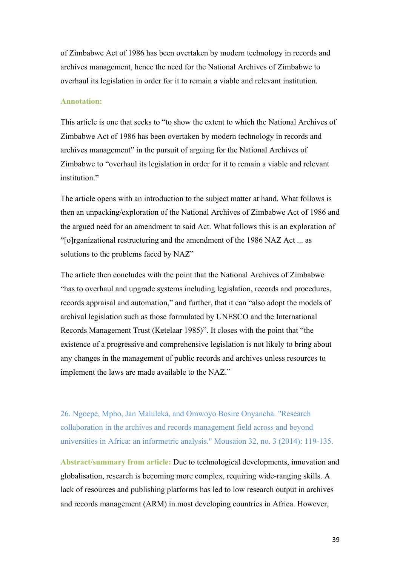of Zimbabwe Act of 1986 has been overtaken by modern technology in records and archives management, hence the need for the National Archives of Zimbabwe to overhaul its legislation in order for it to remain a viable and relevant institution.

## **Annotation:**

This article is one that seeks to "to show the extent to which the National Archives of Zimbabwe Act of 1986 has been overtaken by modern technology in records and archives management" in the pursuit of arguing for the National Archives of Zimbabwe to "overhaul its legislation in order for it to remain a viable and relevant institution."

The article opens with an introduction to the subject matter at hand. What follows is then an unpacking/exploration of the National Archives of Zimbabwe Act of 1986 and the argued need for an amendment to said Act. What follows this is an exploration of "[o]rganizational restructuring and the amendment of the 1986 NAZ Act ... as solutions to the problems faced by NAZ"

The article then concludes with the point that the National Archives of Zimbabwe "has to overhaul and upgrade systems including legislation, records and procedures, records appraisal and automation," and further, that it can "also adopt the models of archival legislation such as those formulated by UNESCO and the International Records Management Trust (Ketelaar 1985)". It closes with the point that "the existence of a progressive and comprehensive legislation is not likely to bring about any changes in the management of public records and archives unless resources to implement the laws are made available to the NAZ."

26. Ngoepe, Mpho, Jan Maluleka, and Omwoyo Bosire Onyancha. "Research collaboration in the archives and records management field across and beyond universities in Africa: an informetric analysis." Mousaion 32, no. 3 (2014): 119-135.

**Abstract/summary from article:** Due to technological developments, innovation and globalisation, research is becoming more complex, requiring wide-ranging skills. A lack of resources and publishing platforms has led to low research output in archives and records management (ARM) in most developing countries in Africa. However,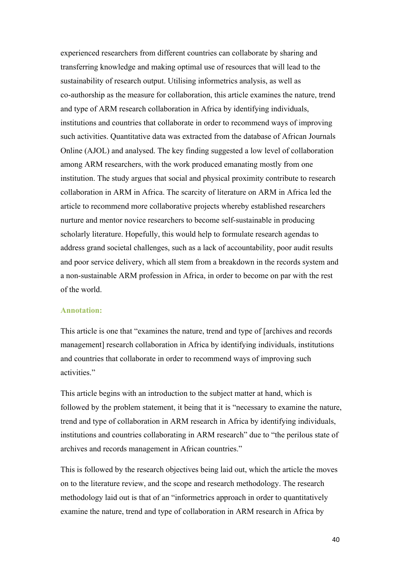experienced researchers from different countries can collaborate by sharing and transferring knowledge and making optimal use of resources that will lead to the sustainability of research output. Utilising informetrics analysis, as well as co-authorship as the measure for collaboration, this article examines the nature, trend and type of ARM research collaboration in Africa by identifying individuals, institutions and countries that collaborate in order to recommend ways of improving such activities. Quantitative data was extracted from the database of African Journals Online (AJOL) and analysed. The key finding suggested a low level of collaboration among ARM researchers, with the work produced emanating mostly from one institution. The study argues that social and physical proximity contribute to research collaboration in ARM in Africa. The scarcity of literature on ARM in Africa led the article to recommend more collaborative projects whereby established researchers nurture and mentor novice researchers to become self-sustainable in producing scholarly literature. Hopefully, this would help to formulate research agendas to address grand societal challenges, such as a lack of accountability, poor audit results and poor service delivery, which all stem from a breakdown in the records system and a non-sustainable ARM profession in Africa, in order to become on par with the rest of the world.

#### **Annotation:**

This article is one that "examines the nature, trend and type of [archives and records management] research collaboration in Africa by identifying individuals, institutions and countries that collaborate in order to recommend ways of improving such activities."

This article begins with an introduction to the subject matter at hand, which is followed by the problem statement, it being that it is "necessary to examine the nature, trend and type of collaboration in ARM research in Africa by identifying individuals, institutions and countries collaborating in ARM research" due to "the perilous state of archives and records management in African countries."

This is followed by the research objectives being laid out, which the article the moves on to the literature review, and the scope and research methodology. The research methodology laid out is that of an "informetrics approach in order to quantitatively examine the nature, trend and type of collaboration in ARM research in Africa by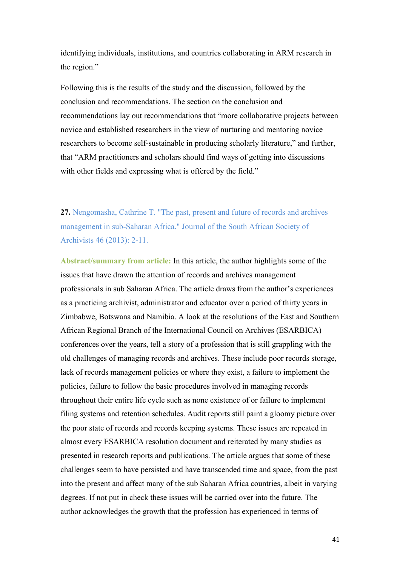identifying individuals, institutions, and countries collaborating in ARM research in the region."

Following this is the results of the study and the discussion, followed by the conclusion and recommendations. The section on the conclusion and recommendations lay out recommendations that "more collaborative projects between novice and established researchers in the view of nurturing and mentoring novice researchers to become self-sustainable in producing scholarly literature," and further, that "ARM practitioners and scholars should find ways of getting into discussions with other fields and expressing what is offered by the field."

**27.** Nengomasha, Cathrine T. "The past, present and future of records and archives management in sub-Saharan Africa." Journal of the South African Society of Archivists 46 (2013): 2-11.

**Abstract/summary from article:** In this article, the author highlights some of the issues that have drawn the attention of records and archives management professionals in sub Saharan Africa. The article draws from the author's experiences as a practicing archivist, administrator and educator over a period of thirty years in Zimbabwe, Botswana and Namibia. A look at the resolutions of the East and Southern African Regional Branch of the International Council on Archives (ESARBICA) conferences over the years, tell a story of a profession that is still grappling with the old challenges of managing records and archives. These include poor records storage, lack of records management policies or where they exist, a failure to implement the policies, failure to follow the basic procedures involved in managing records throughout their entire life cycle such as none existence of or failure to implement filing systems and retention schedules. Audit reports still paint a gloomy picture over the poor state of records and records keeping systems. These issues are repeated in almost every ESARBICA resolution document and reiterated by many studies as presented in research reports and publications. The article argues that some of these challenges seem to have persisted and have transcended time and space, from the past into the present and affect many of the sub Saharan Africa countries, albeit in varying degrees. If not put in check these issues will be carried over into the future. The author acknowledges the growth that the profession has experienced in terms of

41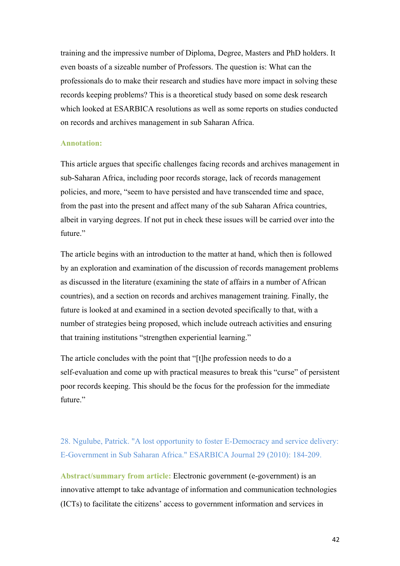training and the impressive number of Diploma, Degree, Masters and PhD holders. It even boasts of a sizeable number of Professors. The question is: What can the professionals do to make their research and studies have more impact in solving these records keeping problems? This is a theoretical study based on some desk research which looked at ESARBICA resolutions as well as some reports on studies conducted on records and archives management in sub Saharan Africa.

#### **Annotation:**

This article argues that specific challenges facing records and archives management in sub-Saharan Africa, including poor records storage, lack of records management policies, and more, "seem to have persisted and have transcended time and space, from the past into the present and affect many of the sub Saharan Africa countries, albeit in varying degrees. If not put in check these issues will be carried over into the future."

The article begins with an introduction to the matter at hand, which then is followed by an exploration and examination of the discussion of records management problems as discussed in the literature (examining the state of affairs in a number of African countries), and a section on records and archives management training. Finally, the future is looked at and examined in a section devoted specifically to that, with a number of strategies being proposed, which include outreach activities and ensuring that training institutions "strengthen experiential learning."

The article concludes with the point that "[t]he profession needs to do a self-evaluation and come up with practical measures to break this "curse" of persistent poor records keeping. This should be the focus for the profession for the immediate future."

28. Ngulube, Patrick. "A lost opportunity to foster E-Democracy and service delivery: E-Government in Sub Saharan Africa." ESARBICA Journal 29 (2010): 184-209.

**Abstract/summary from article:** Electronic government (e-government) is an innovative attempt to take advantage of information and communication technologies (ICTs) to facilitate the citizens' access to government information and services in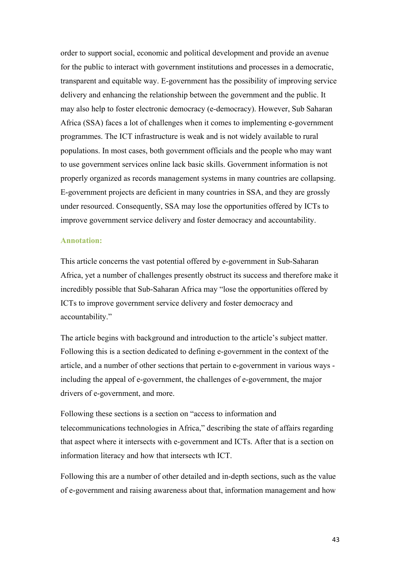order to support social, economic and political development and provide an avenue for the public to interact with government institutions and processes in a democratic, transparent and equitable way. E-government has the possibility of improving service delivery and enhancing the relationship between the government and the public. It may also help to foster electronic democracy (e-democracy). However, Sub Saharan Africa (SSA) faces a lot of challenges when it comes to implementing e-government programmes. The ICT infrastructure is weak and is not widely available to rural populations. In most cases, both government officials and the people who may want to use government services online lack basic skills. Government information is not properly organized as records management systems in many countries are collapsing. E-government projects are deficient in many countries in SSA, and they are grossly under resourced. Consequently, SSA may lose the opportunities offered by ICTs to improve government service delivery and foster democracy and accountability.

#### **Annotation:**

This article concerns the vast potential offered by e-government in Sub-Saharan Africa, yet a number of challenges presently obstruct its success and therefore make it incredibly possible that Sub-Saharan Africa may "lose the opportunities offered by ICTs to improve government service delivery and foster democracy and accountability."

The article begins with background and introduction to the article's subject matter. Following this is a section dedicated to defining e-government in the context of the article, and a number of other sections that pertain to e-government in various ways including the appeal of e-government, the challenges of e-government, the major drivers of e-government, and more.

Following these sections is a section on "access to information and telecommunications technologies in Africa," describing the state of affairs regarding that aspect where it intersects with e-government and ICTs. After that is a section on information literacy and how that intersects wth ICT.

Following this are a number of other detailed and in-depth sections, such as the value of e-government and raising awareness about that, information management and how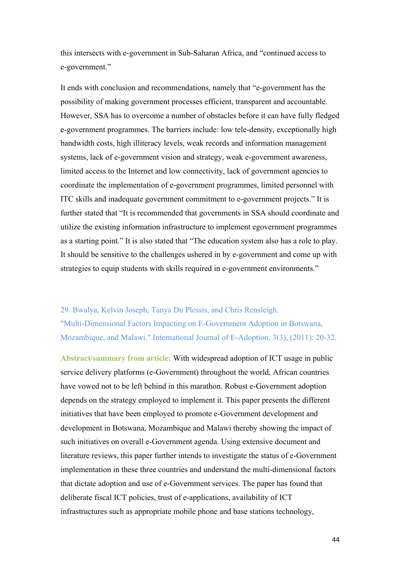this intersects with e-government in Sub-Saharan Africa, and "continued access to e-government."

It ends with conclusion and recommendations, namely that "e-government has the possibility of making government processes efficient, transparent and accountable. However, SSA has to overcome a number of obstacles before it can have fully fledged e-government programmes. The barriers include: low tele-density, exceptionally high bandwidth costs, high illiteracy levels, weak records and information management systems, lack of e-government vision and strategy, weak e-government awareness, limited access to the Internet and low connectivity, lack of government agencies to coordinate the implementation of e-government programmes, limited personnel with ITC skills and inadequate government commitment to e-government projects." It is further stated that "It is recommended that governments in SSA should coordinate and utilize the existing information infrastructure to implement egovernment programmes as a starting point." It is also stated that "The education system also has a role to play. It should be sensitive to the challenges ushered in by e-government and come up with strategies to equip students with skills required in e-government environments."

29. Bwalya, Kelvin Joseph, Tanya Du Plessis, and Chris Rensleigh. "Multi-Dimensional Factors Impacting on E-Government Adoption in Botswana, Mozambique, and Malawi." International Journal of E-Adoption, 3(3), (2011): 20-32.

**Abstract/summary from article:** With widespread adoption of ICT usage in public service delivery platforms (e-Government) throughout the world, African countries have vowed not to be left behind in this marathon. Robust e-Government adoption depends on the strategy employed to implement it. This paper presents the different initiatives that have been employed to promote e-Government development and development in Botswana, Mozambique and Malawi thereby showing the impact of such initiatives on overall e-Government agenda. Using extensive document and literature reviews, this paper further intends to investigate the status of e-Government implementation in these three countries and understand the multi-dimensional factors that dictate adoption and use of e-Government services. The paper has found that deliberate fiscal ICT policies, trust of e-applications, availability of ICT infrastructures such as appropriate mobile phone and base stations technology,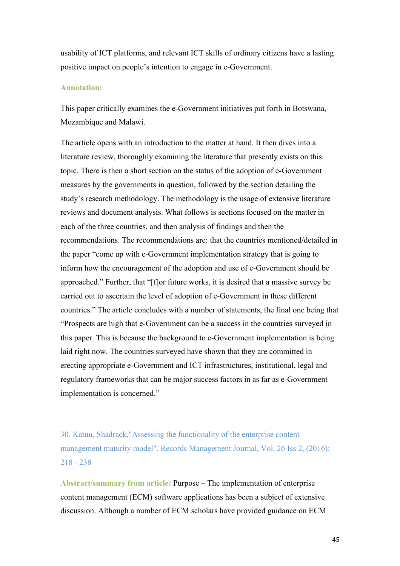usability of ICT platforms, and relevant ICT skills of ordinary citizens have a lasting positive impact on people's intention to engage in e-Government.

#### **Annotation:**

This paper critically examines the e-Government initiatives put forth in Botswana, Mozambique and Malawi.

The article opens with an introduction to the matter at hand. It then dives into a literature review, thoroughly examining the literature that presently exists on this topic. There is then a short section on the status of the adoption of e-Government measures by the governments in question, followed by the section detailing the study's research methodology. The methodology is the usage of extensive literature reviews and document analysis. What follows is sections focused on the matter in each of the three countries, and then analysis of findings and then the recommendations. The recommendations are: that the countries mentioned/detailed in the paper "come up with e-Government implementation strategy that is going to inform how the encouragement of the adoption and use of e-Government should be approached." Further, that "[f]or future works, it is desired that a massive survey be carried out to ascertain the level of adoption of e-Government in these different countries." The article concludes with a number of statements, the final one being that "Prospects are high that e-Government can be a success in the countries surveyed in this paper. This is because the background to e-Government implementation is being laid right now. The countries surveyed have shown that they are committed in erecting appropriate e-Government and ICT infrastructures, institutional, legal and regulatory frameworks that can be major success factors in as far as e-Government implementation is concerned."

30. Katuu, Shadrack,"Assessing the functionality of the enterprise content management maturity model", Records Management Journal, Vol. 26 Iss 2, (2016): 218 - 238

**Abstract/summary from article:** Purpose – The implementation of enterprise content management (ECM) software applications has been a subject of extensive discussion. Although a number of ECM scholars have provided guidance on ECM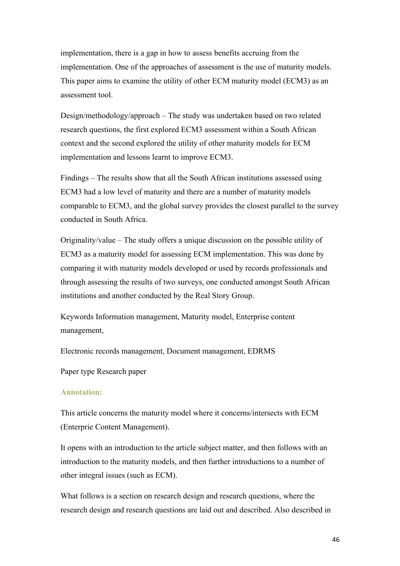implementation, there is a gap in how to assess benefits accruing from the implementation. One of the approaches of assessment is the use of maturity models. This paper aims to examine the utility of other ECM maturity model (ECM3) as an assessment tool.

Design/methodology/approach – The study was undertaken based on two related research questions, the first explored ECM3 assessment within a South African context and the second explored the utility of other maturity models for ECM implementation and lessons learnt to improve ECM3.

Findings – The results show that all the South African institutions assessed using ECM3 had a low level of maturity and there are a number of maturity models comparable to ECM3, and the global survey provides the closest parallel to the survey conducted in South Africa.

Originality/value – The study offers a unique discussion on the possible utility of ECM3 as a maturity model for assessing ECM implementation. This was done by comparing it with maturity models developed or used by records professionals and through assessing the results of two surveys, one conducted amongst South African institutions and another conducted by the Real Story Group.

Keywords Information management, Maturity model, Enterprise content management,

Electronic records management, Document management, EDRMS

Paper type Research paper

#### **Annotation:**

This article concerns the maturity model where it concerns/intersects with ECM (Enterprie Content Management).

It opens with an introduction to the article subject matter, and then follows with an introduction to the maturity models, and then further introductions to a number of other integral issues (such as ECM).

What follows is a section on research design and research questions, where the research design and research questions are laid out and described. Also described in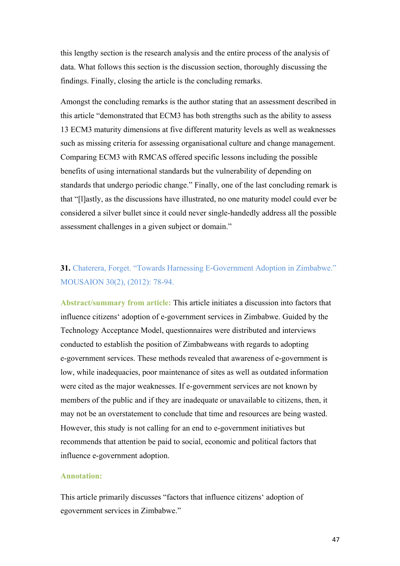this lengthy section is the research analysis and the entire process of the analysis of data. What follows this section is the discussion section, thoroughly discussing the findings. Finally, closing the article is the concluding remarks.

Amongst the concluding remarks is the author stating that an assessment described in this article "demonstrated that ECM3 has both strengths such as the ability to assess 13 ECM3 maturity dimensions at five different maturity levels as well as weaknesses such as missing criteria for assessing organisational culture and change management. Comparing ECM3 with RMCAS offered specific lessons including the possible benefits of using international standards but the vulnerability of depending on standards that undergo periodic change." Finally, one of the last concluding remark is that "[l]astly, as the discussions have illustrated, no one maturity model could ever be considered a silver bullet since it could never single-handedly address all the possible assessment challenges in a given subject or domain."

# **31.** Chaterera, Forget. "Towards Harnessing E-Government Adoption in Zimbabwe." MOUSAION 30(2), (2012): 78-94.

**Abstract/summary from article:** This article initiates a discussion into factors that influence citizens' adoption of e-government services in Zimbabwe. Guided by the Technology Acceptance Model, questionnaires were distributed and interviews conducted to establish the position of Zimbabweans with regards to adopting e-government services. These methods revealed that awareness of e-government is low, while inadequacies, poor maintenance of sites as well as outdated information were cited as the major weaknesses. If e-government services are not known by members of the public and if they are inadequate or unavailable to citizens, then, it may not be an overstatement to conclude that time and resources are being wasted. However, this study is not calling for an end to e-government initiatives but recommends that attention be paid to social, economic and political factors that influence e-government adoption.

## **Annotation:**

This article primarily discusses "factors that influence citizens' adoption of egovernment services in Zimbabwe."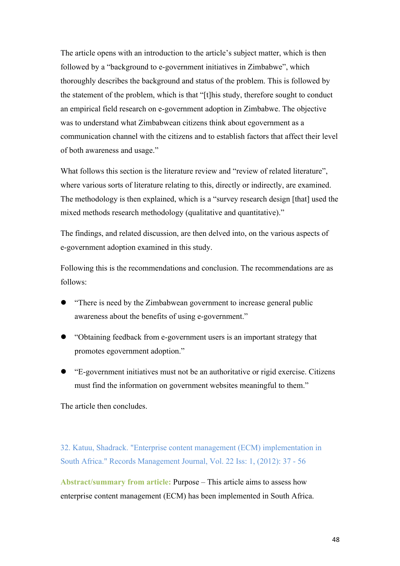The article opens with an introduction to the article's subject matter, which is then followed by a "background to e-government initiatives in Zimbabwe", which thoroughly describes the background and status of the problem. This is followed by the statement of the problem, which is that "[t]his study, therefore sought to conduct an empirical field research on e-government adoption in Zimbabwe. The objective was to understand what Zimbabwean citizens think about egovernment as a communication channel with the citizens and to establish factors that affect their level of both awareness and usage."

What follows this section is the literature review and "review of related literature", where various sorts of literature relating to this, directly or indirectly, are examined. The methodology is then explained, which is a "survey research design [that] used the mixed methods research methodology (qualitative and quantitative)."

The findings, and related discussion, are then delved into, on the various aspects of e-government adoption examined in this study.

Following this is the recommendations and conclusion. The recommendations are as follows:

- "There is need by the Zimbabwean government to increase general public awareness about the benefits of using e-government."
- "Obtaining feedback from e-government users is an important strategy that promotes egovernment adoption."
- l "E-government initiatives must not be an authoritative or rigid exercise. Citizens must find the information on government websites meaningful to them."

The article then concludes.

32. Katuu, Shadrack. "Enterprise content management (ECM) implementation in South Africa." Records Management Journal, Vol. 22 Iss: 1, (2012): 37 - 56

**Abstract/summary from article:** Purpose – This article aims to assess how enterprise content management (ECM) has been implemented in South Africa.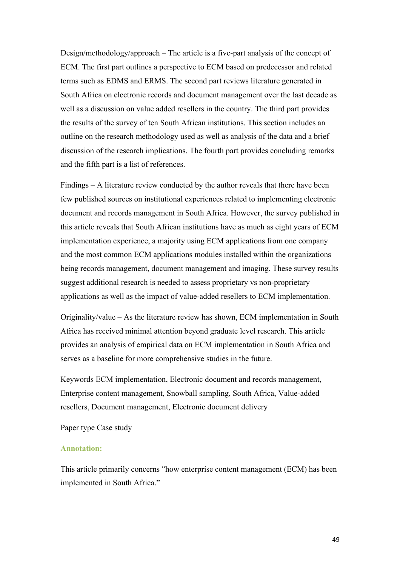Design/methodology/approach – The article is a five-part analysis of the concept of ECM. The first part outlines a perspective to ECM based on predecessor and related terms such as EDMS and ERMS. The second part reviews literature generated in South Africa on electronic records and document management over the last decade as well as a discussion on value added resellers in the country. The third part provides the results of the survey of ten South African institutions. This section includes an outline on the research methodology used as well as analysis of the data and a brief discussion of the research implications. The fourth part provides concluding remarks and the fifth part is a list of references.

Findings – A literature review conducted by the author reveals that there have been few published sources on institutional experiences related to implementing electronic document and records management in South Africa. However, the survey published in this article reveals that South African institutions have as much as eight years of ECM implementation experience, a majority using ECM applications from one company and the most common ECM applications modules installed within the organizations being records management, document management and imaging. These survey results suggest additional research is needed to assess proprietary vs non-proprietary applications as well as the impact of value-added resellers to ECM implementation.

Originality/value – As the literature review has shown, ECM implementation in South Africa has received minimal attention beyond graduate level research. This article provides an analysis of empirical data on ECM implementation in South Africa and serves as a baseline for more comprehensive studies in the future.

Keywords ECM implementation, Electronic document and records management, Enterprise content management, Snowball sampling, South Africa, Value-added resellers, Document management, Electronic document delivery

Paper type Case study

#### **Annotation:**

This article primarily concerns "how enterprise content management (ECM) has been implemented in South Africa."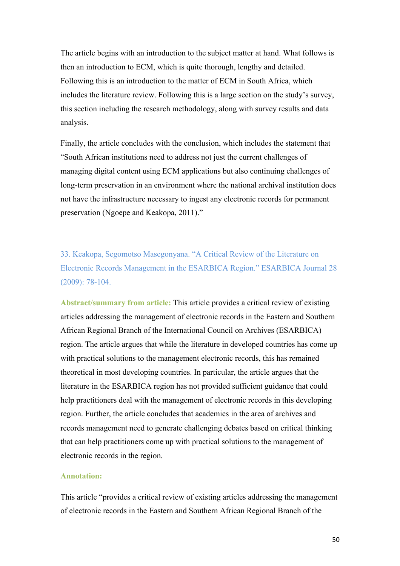The article begins with an introduction to the subject matter at hand. What follows is then an introduction to ECM, which is quite thorough, lengthy and detailed. Following this is an introduction to the matter of ECM in South Africa, which includes the literature review. Following this is a large section on the study's survey, this section including the research methodology, along with survey results and data analysis.

Finally, the article concludes with the conclusion, which includes the statement that "South African institutions need to address not just the current challenges of managing digital content using ECM applications but also continuing challenges of long-term preservation in an environment where the national archival institution does not have the infrastructure necessary to ingest any electronic records for permanent preservation (Ngoepe and Keakopa, 2011)."

33. Keakopa, Segomotso Masegonyana. "A Critical Review of the Literature on Electronic Records Management in the ESARBICA Region." ESARBICA Journal 28 (2009): 78-104.

**Abstract/summary from article:** This article provides a critical review of existing articles addressing the management of electronic records in the Eastern and Southern African Regional Branch of the International Council on Archives (ESARBICA) region. The article argues that while the literature in developed countries has come up with practical solutions to the management electronic records, this has remained theoretical in most developing countries. In particular, the article argues that the literature in the ESARBICA region has not provided sufficient guidance that could help practitioners deal with the management of electronic records in this developing region. Further, the article concludes that academics in the area of archives and records management need to generate challenging debates based on critical thinking that can help practitioners come up with practical solutions to the management of electronic records in the region.

# **Annotation:**

This article "provides a critical review of existing articles addressing the management of electronic records in the Eastern and Southern African Regional Branch of the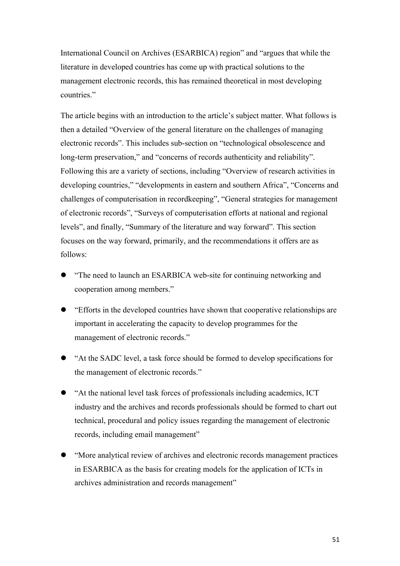International Council on Archives (ESARBICA) region" and "argues that while the literature in developed countries has come up with practical solutions to the management electronic records, this has remained theoretical in most developing countries."

The article begins with an introduction to the article's subject matter. What follows is then a detailed "Overview of the general literature on the challenges of managing electronic records". This includes sub-section on "technological obsolescence and long-term preservation," and "concerns of records authenticity and reliability". Following this are a variety of sections, including "Overview of research activities in developing countries," "developments in eastern and southern Africa", "Concerns and challenges of computerisation in recordkeeping", "General strategies for management of electronic records", "Surveys of computerisation efforts at national and regional levels", and finally, "Summary of the literature and way forward". This section focuses on the way forward, primarily, and the recommendations it offers are as follows:

- "The need to launch an ESARBICA web-site for continuing networking and cooperation among members."
- l "Efforts in the developed countries have shown that cooperative relationships are important in accelerating the capacity to develop programmes for the management of electronic records."
- "At the SADC level, a task force should be formed to develop specifications for the management of electronic records."
- "At the national level task forces of professionals including academics, ICT industry and the archives and records professionals should be formed to chart out technical, procedural and policy issues regarding the management of electronic records, including email management"
- l "More analytical review of archives and electronic records management practices in ESARBICA as the basis for creating models for the application of ICTs in archives administration and records management"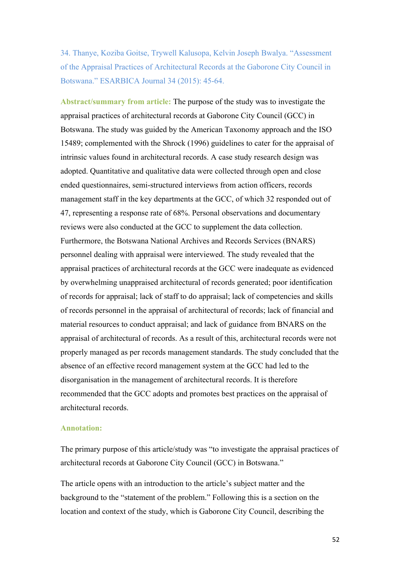34. Thanye, Koziba Goitse, Trywell Kalusopa, Kelvin Joseph Bwalya. "Assessment of the Appraisal Practices of Architectural Records at the Gaborone City Council in Botswana." ESARBICA Journal 34 (2015): 45-64.

**Abstract/summary from article:** The purpose of the study was to investigate the appraisal practices of architectural records at Gaborone City Council (GCC) in Botswana. The study was guided by the American Taxonomy approach and the ISO 15489; complemented with the Shrock (1996) guidelines to cater for the appraisal of intrinsic values found in architectural records. A case study research design was adopted. Quantitative and qualitative data were collected through open and close ended questionnaires, semi-structured interviews from action officers, records management staff in the key departments at the GCC, of which 32 responded out of 47, representing a response rate of 68%. Personal observations and documentary reviews were also conducted at the GCC to supplement the data collection. Furthermore, the Botswana National Archives and Records Services (BNARS) personnel dealing with appraisal were interviewed. The study revealed that the appraisal practices of architectural records at the GCC were inadequate as evidenced by overwhelming unappraised architectural of records generated; poor identification of records for appraisal; lack of staff to do appraisal; lack of competencies and skills of records personnel in the appraisal of architectural of records; lack of financial and material resources to conduct appraisal; and lack of guidance from BNARS on the appraisal of architectural of records. As a result of this, architectural records were not properly managed as per records management standards. The study concluded that the absence of an effective record management system at the GCC had led to the disorganisation in the management of architectural records. It is therefore recommended that the GCC adopts and promotes best practices on the appraisal of architectural records.

#### **Annotation:**

The primary purpose of this article/study was "to investigate the appraisal practices of architectural records at Gaborone City Council (GCC) in Botswana."

The article opens with an introduction to the article's subject matter and the background to the "statement of the problem." Following this is a section on the location and context of the study, which is Gaborone City Council, describing the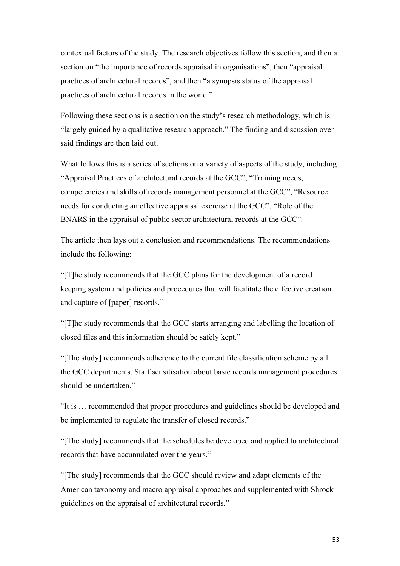contextual factors of the study. The research objectives follow this section, and then a section on "the importance of records appraisal in organisations", then "appraisal practices of architectural records", and then "a synopsis status of the appraisal practices of architectural records in the world."

Following these sections is a section on the study's research methodology, which is "largely guided by a qualitative research approach." The finding and discussion over said findings are then laid out.

What follows this is a series of sections on a variety of aspects of the study, including "Appraisal Practices of architectural records at the GCC", "Training needs, competencies and skills of records management personnel at the GCC", "Resource needs for conducting an effective appraisal exercise at the GCC", "Role of the BNARS in the appraisal of public sector architectural records at the GCC".

The article then lays out a conclusion and recommendations. The recommendations include the following:

"[T]he study recommends that the GCC plans for the development of a record keeping system and policies and procedures that will facilitate the effective creation and capture of [paper] records."

"[T]he study recommends that the GCC starts arranging and labelling the location of closed files and this information should be safely kept."

"[The study] recommends adherence to the current file classification scheme by all the GCC departments. Staff sensitisation about basic records management procedures should be undertaken."

"It is … recommended that proper procedures and guidelines should be developed and be implemented to regulate the transfer of closed records."

"[The study] recommends that the schedules be developed and applied to architectural records that have accumulated over the years."

"[The study] recommends that the GCC should review and adapt elements of the American taxonomy and macro appraisal approaches and supplemented with Shrock guidelines on the appraisal of architectural records."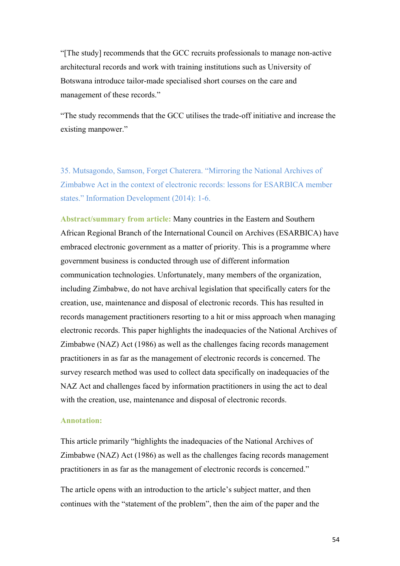"[The study] recommends that the GCC recruits professionals to manage non-active architectural records and work with training institutions such as University of Botswana introduce tailor-made specialised short courses on the care and management of these records."

"The study recommends that the GCC utilises the trade-off initiative and increase the existing manpower."

35. Mutsagondo, Samson, Forget Chaterera. "Mirroring the National Archives of Zimbabwe Act in the context of electronic records: lessons for ESARBICA member states." Information Development (2014): 1-6.

**Abstract/summary from article:** Many countries in the Eastern and Southern African Regional Branch of the International Council on Archives (ESARBICA) have embraced electronic government as a matter of priority. This is a programme where government business is conducted through use of different information communication technologies. Unfortunately, many members of the organization, including Zimbabwe, do not have archival legislation that specifically caters for the creation, use, maintenance and disposal of electronic records. This has resulted in records management practitioners resorting to a hit or miss approach when managing electronic records. This paper highlights the inadequacies of the National Archives of Zimbabwe (NAZ) Act (1986) as well as the challenges facing records management practitioners in as far as the management of electronic records is concerned. The survey research method was used to collect data specifically on inadequacies of the NAZ Act and challenges faced by information practitioners in using the act to deal with the creation, use, maintenance and disposal of electronic records.

#### **Annotation:**

This article primarily "highlights the inadequacies of the National Archives of Zimbabwe (NAZ) Act (1986) as well as the challenges facing records management practitioners in as far as the management of electronic records is concerned."

The article opens with an introduction to the article's subject matter, and then continues with the "statement of the problem", then the aim of the paper and the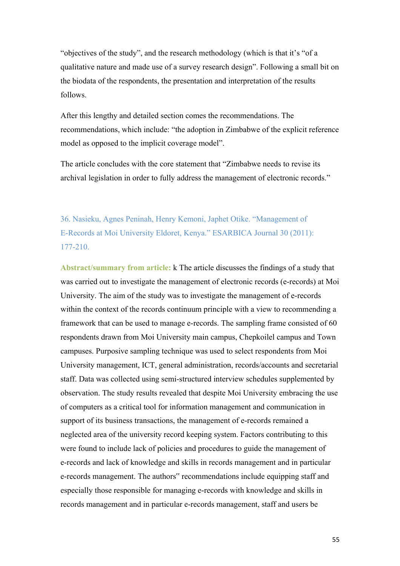"objectives of the study", and the research methodology (which is that it's "of a qualitative nature and made use of a survey research design". Following a small bit on the biodata of the respondents, the presentation and interpretation of the results follows.

After this lengthy and detailed section comes the recommendations. The recommendations, which include: "the adoption in Zimbabwe of the explicit reference model as opposed to the implicit coverage model".

The article concludes with the core statement that "Zimbabwe needs to revise its archival legislation in order to fully address the management of electronic records."

36. Nasieku, Agnes Peninah, Henry Kemoni, Japhet Otike. "Management of E-Records at Moi University Eldoret, Kenya." ESARBICA Journal 30 (2011): 177-210.

**Abstract/summary from article:** k The article discusses the findings of a study that was carried out to investigate the management of electronic records (e-records) at Moi University. The aim of the study was to investigate the management of e-records within the context of the records continuum principle with a view to recommending a framework that can be used to manage e-records. The sampling frame consisted of 60 respondents drawn from Moi University main campus, Chepkoilel campus and Town campuses. Purposive sampling technique was used to select respondents from Moi University management, ICT, general administration, records/accounts and secretarial staff. Data was collected using semi-structured interview schedules supplemented by observation. The study results revealed that despite Moi University embracing the use of computers as a critical tool for information management and communication in support of its business transactions, the management of e-records remained a neglected area of the university record keeping system. Factors contributing to this were found to include lack of policies and procedures to guide the management of e-records and lack of knowledge and skills in records management and in particular e-records management. The authors" recommendations include equipping staff and especially those responsible for managing e-records with knowledge and skills in records management and in particular e-records management, staff and users be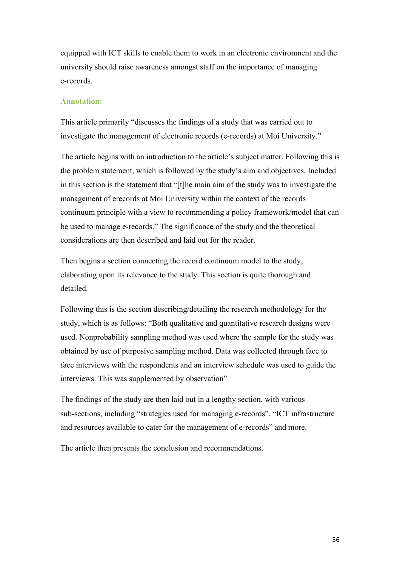equipped with ICT skills to enable them to work in an electronic environment and the university should raise awareness amongst staff on the importance of managing e-records.

## **Annotation:**

This article primarily "discusses the findings of a study that was carried out to investigate the management of electronic records (e-records) at Moi University."

The article begins with an introduction to the article's subject matter. Following this is the problem statement, which is followed by the study's aim and objectives. Included in this section is the statement that "[t]he main aim of the study was to investigate the management of erecords at Moi University within the context of the records continuum principle with a view to recommending a policy framework/model that can be used to manage e-records." The significance of the study and the theoretical considerations are then described and laid out for the reader.

Then begins a section connecting the record continuum model to the study, elaborating upon its relevance to the study. This section is quite thorough and detailed.

Following this is the section describing/detailing the research methodology for the study, which is as follows: "Both qualitative and quantitative research designs were used. Nonprobability sampling method was used where the sample for the study was obtained by use of purposive sampling method. Data was collected through face to face interviews with the respondents and an interview schedule was used to guide the interviews. This was supplemented by observation"

The findings of the study are then laid out in a lengthy section, with various sub-sections, including "strategies used for managing e-records", "ICT infrastructure and resources available to cater for the management of e-records" and more.

The article then presents the conclusion and recommendations.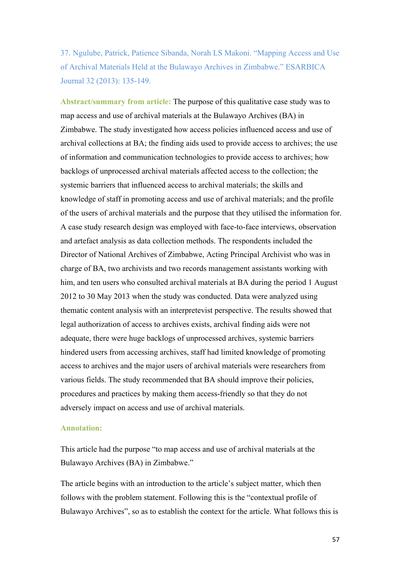37. Ngulube, Patrick, Patience Sibanda, Norah LS Makoni. "Mapping Access and Use of Archival Materials Held at the Bulawayo Archives in Zimbabwe." ESARBICA Journal 32 (2013): 135-149.

**Abstract/summary from article:** The purpose of this qualitative case study was to map access and use of archival materials at the Bulawayo Archives (BA) in Zimbabwe. The study investigated how access policies influenced access and use of archival collections at BA; the finding aids used to provide access to archives; the use of information and communication technologies to provide access to archives; how backlogs of unprocessed archival materials affected access to the collection; the systemic barriers that influenced access to archival materials; the skills and knowledge of staff in promoting access and use of archival materials; and the profile of the users of archival materials and the purpose that they utilised the information for. A case study research design was employed with face-to-face interviews, observation and artefact analysis as data collection methods. The respondents included the Director of National Archives of Zimbabwe, Acting Principal Archivist who was in charge of BA, two archivists and two records management assistants working with him, and ten users who consulted archival materials at BA during the period 1 August 2012 to 30 May 2013 when the study was conducted. Data were analyzed using thematic content analysis with an interpretevist perspective. The results showed that legal authorization of access to archives exists, archival finding aids were not adequate, there were huge backlogs of unprocessed archives, systemic barriers hindered users from accessing archives, staff had limited knowledge of promoting access to archives and the major users of archival materials were researchers from various fields. The study recommended that BA should improve their policies, procedures and practices by making them access-friendly so that they do not adversely impact on access and use of archival materials.

#### **Annotation:**

This article had the purpose "to map access and use of archival materials at the Bulawayo Archives (BA) in Zimbabwe."

The article begins with an introduction to the article's subject matter, which then follows with the problem statement. Following this is the "contextual profile of Bulawayo Archives", so as to establish the context for the article. What follows this is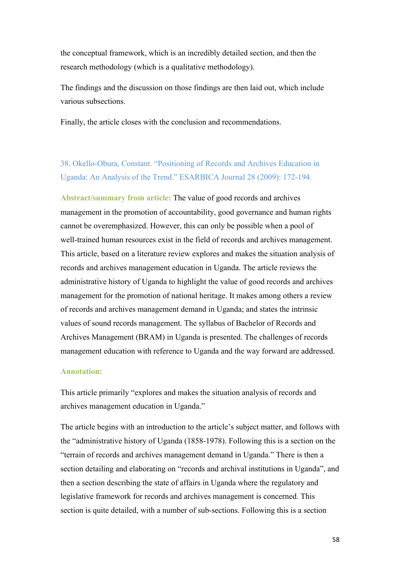the conceptual framework, which is an incredibly detailed section, and then the research methodology (which is a qualitative methodology).

The findings and the discussion on those findings are then laid out, which include various subsections.

Finally, the article closes with the conclusion and recommendations.

38. Okello-Obura, Constant. "Positioning of Records and Archives Education in Uganda: An Analysis of the Trend." ESARBICA Journal 28 (2009): 172-194.

**Abstract/summary from article:** The value of good records and archives management in the promotion of accountability, good governance and human rights cannot be overemphasized. However, this can only be possible when a pool of well-trained human resources exist in the field of records and archives management. This article, based on a literature review explores and makes the situation analysis of records and archives management education in Uganda. The article reviews the administrative history of Uganda to highlight the value of good records and archives management for the promotion of national heritage. It makes among others a review of records and archives management demand in Uganda; and states the intrinsic values of sound records management. The syllabus of Bachelor of Records and Archives Management (BRAM) in Uganda is presented. The challenges of records management education with reference to Uganda and the way forward are addressed.

## **Annotation:**

This article primarily "explores and makes the situation analysis of records and archives management education in Uganda."

The article begins with an introduction to the article's subject matter, and follows with the "administrative history of Uganda (1858-1978). Following this is a section on the "terrain of records and archives management demand in Uganda." There is then a section detailing and elaborating on "records and archival institutions in Uganda", and then a section describing the state of affairs in Uganda where the regulatory and legislative framework for records and archives management is concerned. This section is quite detailed, with a number of sub-sections. Following this is a section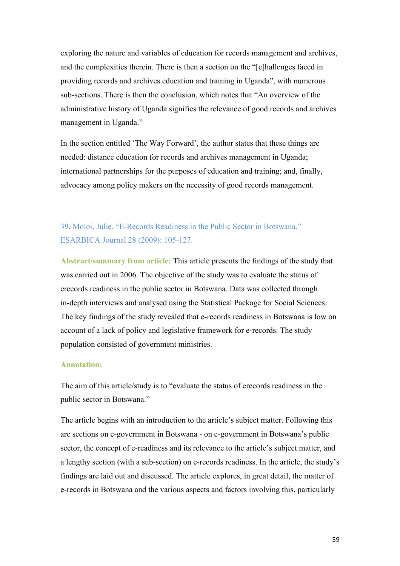exploring the nature and variables of education for records management and archives, and the complexities therein. There is then a section on the "[c]hallenges faced in providing records and archives education and training in Uganda", with numerous sub-sections. There is then the conclusion, which notes that "An overview of the administrative history of Uganda signifies the relevance of good records and archives management in Uganda."

In the section entitled 'The Way Forward', the author states that these things are needed: distance education for records and archives management in Uganda; international partnerships for the purposes of education and training; and, finally, advocacy among policy makers on the necessity of good records management.

39. Moloi, Julie. "E-Records Readiness in the Public Sector in Botswana." ESARBICA Journal 28 (2009): 105-127.

**Abstract/summary from article:** This article presents the findings of the study that was carried out in 2006. The objective of the study was to evaluate the status of erecords readiness in the public sector in Botswana. Data was collected through in-depth interviews and analysed using the Statistical Package for Social Sciences. The key findings of the study revealed that e-records readiness in Botswana is low on account of a lack of policy and legislative framework for e-records. The study population consisted of government ministries.

# **Annotation:**

The aim of this article/study is to "evaluate the status of erecords readiness in the public sector in Botswana."

The article begins with an introduction to the article's subject matter. Following this are sections on e-government in Botswana - on e-government in Botswana's public sector, the concept of e-readiness and its relevance to the article's subject matter, and a lengthy section (with a sub-section) on e-records readiness. In the article, the study's findings are laid out and discussed. The article explores, in great detail, the matter of e-records in Botswana and the various aspects and factors involving this, particularly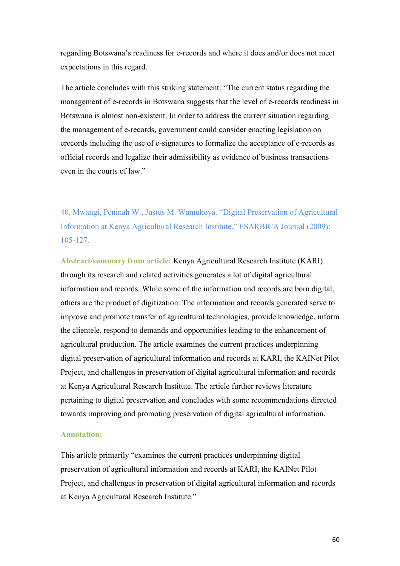regarding Botswana's readiness for e-records and where it does and/or does not meet expectations in this regard.

The article concludes with this striking statement: "The current status regarding the management of e-records in Botswana suggests that the level of e-records readiness in Botswana is almost non-existent. In order to address the current situation regarding the management of e-records, government could consider enacting legislation on erecords including the use of e-signatures to formalize the acceptance of e-records as official records and legalize their admissibility as evidence of business transactions even in the courts of law."

40. Mwangi, Peninah W., Justus M. Wamukoya. "Digital Preservation of Agricultural Information at Kenya Agricultural Research Institute." ESARBICA Journal (2009): 105-127.

**Abstract/summary from article:** Kenya Agricultural Research Institute (KARI) through its research and related activities generates a lot of digital agricultural information and records. While some of the information and records are born digital, others are the product of digitization. The information and records generated serve to improve and promote transfer of agricultural technologies, provide knowledge, inform the clientele, respond to demands and opportunities leading to the enhancement of agricultural production. The article examines the current practices underpinning digital preservation of agricultural information and records at KARI, the KAINet Pilot Project, and challenges in preservation of digital agricultural information and records at Kenya Agricultural Research Institute. The article further reviews literature pertaining to digital preservation and concludes with some recommendations directed towards improving and promoting preservation of digital agricultural information.

#### **Annotation:**

This article primarily "examines the current practices underpinning digital preservation of agricultural information and records at KARI, the KAINet Pilot Project, and challenges in preservation of digital agricultural information and records at Kenya Agricultural Research Institute."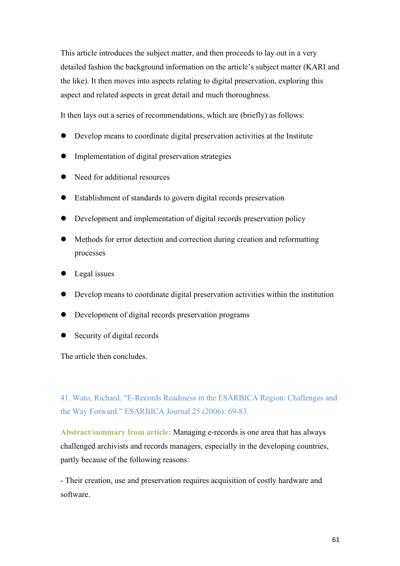This article introduces the subject matter, and then proceeds to lay out in a very detailed fashion the background information on the article's subject matter (KARI and the like). It then moves into aspects relating to digital preservation, exploring this aspect and related aspects in great detail and much thoroughness.

It then lays out a series of recommendations, which are (briefly) as follows:

- l Develop means to coordinate digital preservation activities at the Institute
- l Implementation of digital preservation strategies
- Need for additional resources
- Establishment of standards to govern digital records preservation
- l Development and implementation of digital records preservation policy
- l Methods for error detection and correction during creation and reformatting processes
- Legal issues
- $\bullet$  Develop means to coordinate digital preservation activities within the institution
- Development of digital records preservation programs
- Security of digital records

The article then concludes.

41. Wato, Richard. "E-Records Readiness in the ESARBICA Region: Challenges and the Way Forward." ESARBICA Journal 25 (2006): 69-83.

**Abstract/summary from article:** Managing e-records is one area that has always challenged archivists and records managers, especially in the developing countries, partly because of the following reasons:

- Their creation, use and preservation requires acquisition of costly hardware and software.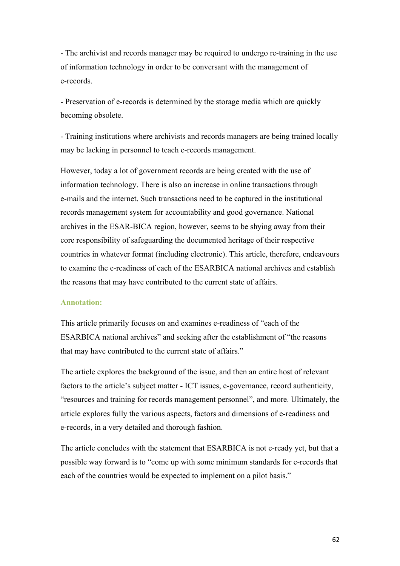- The archivist and records manager may be required to undergo re-training in the use of information technology in order to be conversant with the management of e-records.

- Preservation of e-records is determined by the storage media which are quickly becoming obsolete.

- Training institutions where archivists and records managers are being trained locally may be lacking in personnel to teach e-records management.

However, today a lot of government records are being created with the use of information technology. There is also an increase in online transactions through e-mails and the internet. Such transactions need to be captured in the institutional records management system for accountability and good governance. National archives in the ESAR-BICA region, however, seems to be shying away from their core responsibility of safeguarding the documented heritage of their respective countries in whatever format (including electronic). This article, therefore, endeavours to examine the e-readiness of each of the ESARBICA national archives and establish the reasons that may have contributed to the current state of affairs.

#### **Annotation:**

This article primarily focuses on and examines e-readiness of "each of the ESARBICA national archives" and seeking after the establishment of "the reasons that may have contributed to the current state of affairs."

The article explores the background of the issue, and then an entire host of relevant factors to the article's subject matter - ICT issues, e-governance, record authenticity, "resources and training for records management personnel", and more. Ultimately, the article explores fully the various aspects, factors and dimensions of e-readiness and e-records, in a very detailed and thorough fashion.

The article concludes with the statement that ESARBICA is not e-ready yet, but that a possible way forward is to "come up with some minimum standards for e-records that each of the countries would be expected to implement on a pilot basis."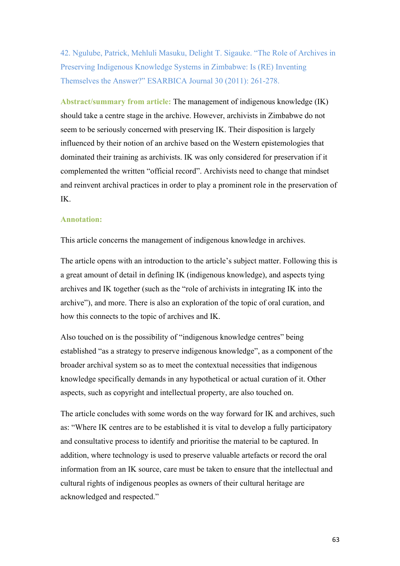42. Ngulube, Patrick, Mehluli Masuku, Delight T. Sigauke. "The Role of Archives in Preserving Indigenous Knowledge Systems in Zimbabwe: Is (RE) Inventing Themselves the Answer?" ESARBICA Journal 30 (2011): 261-278.

**Abstract/summary from article:** The management of indigenous knowledge (IK) should take a centre stage in the archive. However, archivists in Zimbabwe do not seem to be seriously concerned with preserving IK. Their disposition is largely influenced by their notion of an archive based on the Western epistemologies that dominated their training as archivists. IK was only considered for preservation if it complemented the written "official record". Archivists need to change that mindset and reinvent archival practices in order to play a prominent role in the preservation of IK.

# **Annotation:**

This article concerns the management of indigenous knowledge in archives.

The article opens with an introduction to the article's subject matter. Following this is a great amount of detail in defining IK (indigenous knowledge), and aspects tying archives and IK together (such as the "role of archivists in integrating IK into the archive"), and more. There is also an exploration of the topic of oral curation, and how this connects to the topic of archives and IK.

Also touched on is the possibility of "indigenous knowledge centres" being established "as a strategy to preserve indigenous knowledge", as a component of the broader archival system so as to meet the contextual necessities that indigenous knowledge specifically demands in any hypothetical or actual curation of it. Other aspects, such as copyright and intellectual property, are also touched on.

The article concludes with some words on the way forward for IK and archives, such as: "Where IK centres are to be established it is vital to develop a fully participatory and consultative process to identify and prioritise the material to be captured. In addition, where technology is used to preserve valuable artefacts or record the oral information from an IK source, care must be taken to ensure that the intellectual and cultural rights of indigenous peoples as owners of their cultural heritage are acknowledged and respected."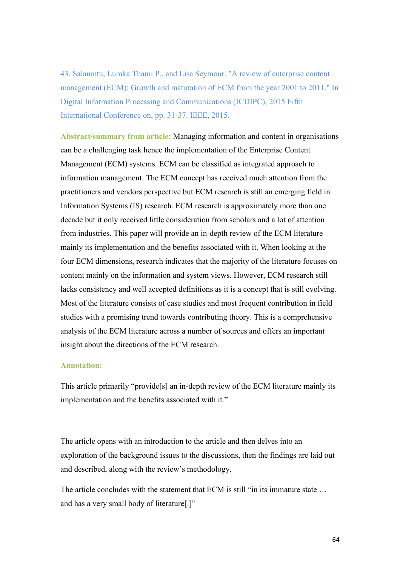43. Salamntu, Lumka Thami P., and Lisa Seymour. "A review of enterprise content management (ECM): Growth and maturation of ECM from the year 2001 to 2011." In Digital Information Processing and Communications (ICDIPC), 2015 Fifth International Conference on, pp. 31-37. IEEE, 2015.

**Abstract/summary from article:** Managing information and content in organisations can be a challenging task hence the implementation of the Enterprise Content Management (ECM) systems. ECM can be classified as integrated approach to information management. The ECM concept has received much attention from the practitioners and vendors perspective but ECM research is still an emerging field in Information Systems (IS) research. ECM research is approximately more than one decade but it only received little consideration from scholars and a lot of attention from industries. This paper will provide an in-depth review of the ECM literature mainly its implementation and the benefits associated with it. When looking at the four ECM dimensions, research indicates that the majority of the literature focuses on content mainly on the information and system views. However, ECM research still lacks consistency and well accepted definitions as it is a concept that is still evolving. Most of the literature consists of case studies and most frequent contribution in field studies with a promising trend towards contributing theory. This is a comprehensive analysis of the ECM literature across a number of sources and offers an important insight about the directions of the ECM research.

# **Annotation:**

This article primarily "provide[s] an in-depth review of the ECM literature mainly its implementation and the benefits associated with it."

The article opens with an introduction to the article and then delves into an exploration of the background issues to the discussions, then the findings are laid out and described, along with the review's methodology.

The article concludes with the statement that ECM is still "in its immature state ... and has a very small body of literature[.]"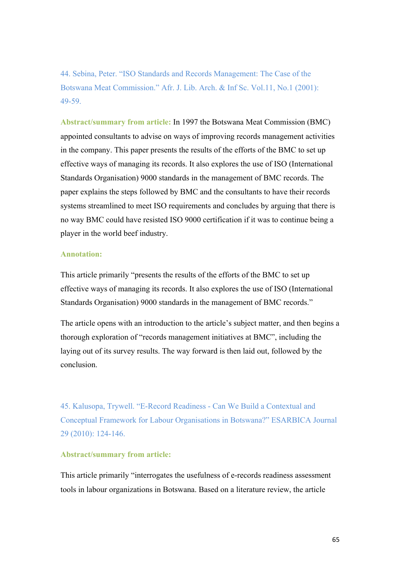44. Sebina, Peter. "ISO Standards and Records Management: The Case of the Botswana Meat Commission." Afr. J. Lib. Arch. & Inf Sc. Vol.11, No.1 (2001): 49-59.

**Abstract/summary from article:** In 1997 the Botswana Meat Commission (BMC) appointed consultants to advise on ways of improving records management activities in the company. This paper presents the results of the efforts of the BMC to set up effective ways of managing its records. It also explores the use of ISO (International Standards Organisation) 9000 standards in the management of BMC records. The paper explains the steps followed by BMC and the consultants to have their records systems streamlined to meet ISO requirements and concludes by arguing that there is no way BMC could have resisted ISO 9000 certification if it was to continue being a player in the world beef industry.

### **Annotation:**

This article primarily "presents the results of the efforts of the BMC to set up effective ways of managing its records. It also explores the use of ISO (International Standards Organisation) 9000 standards in the management of BMC records."

The article opens with an introduction to the article's subject matter, and then begins a thorough exploration of "records management initiatives at BMC", including the laying out of its survey results. The way forward is then laid out, followed by the conclusion.

45. Kalusopa, Trywell. "E-Record Readiness - Can We Build a Contextual and Conceptual Framework for Labour Organisations in Botswana?" ESARBICA Journal 29 (2010): 124-146.

#### **Abstract/summary from article:**

This article primarily "interrogates the usefulness of e-records readiness assessment tools in labour organizations in Botswana. Based on a literature review, the article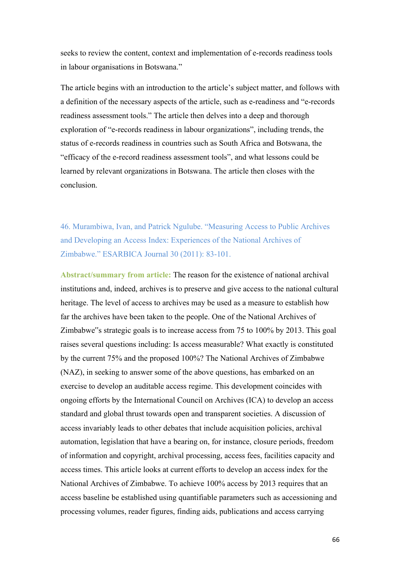seeks to review the content, context and implementation of e-records readiness tools in labour organisations in Botswana."

The article begins with an introduction to the article's subject matter, and follows with a definition of the necessary aspects of the article, such as e-readiness and "e-records readiness assessment tools." The article then delves into a deep and thorough exploration of "e-records readiness in labour organizations", including trends, the status of e-records readiness in countries such as South Africa and Botswana, the "efficacy of the e-record readiness assessment tools", and what lessons could be learned by relevant organizations in Botswana. The article then closes with the conclusion.

46. Murambiwa, Ivan, and Patrick Ngulube. "Measuring Access to Public Archives and Developing an Access Index: Experiences of the National Archives of Zimbabwe." ESARBICA Journal 30 (2011): 83-101.

**Abstract/summary from article:** The reason for the existence of national archival institutions and, indeed, archives is to preserve and give access to the national cultural heritage. The level of access to archives may be used as a measure to establish how far the archives have been taken to the people. One of the National Archives of Zimbabwe"s strategic goals is to increase access from 75 to 100% by 2013. This goal raises several questions including: Is access measurable? What exactly is constituted by the current 75% and the proposed 100%? The National Archives of Zimbabwe (NAZ), in seeking to answer some of the above questions, has embarked on an exercise to develop an auditable access regime. This development coincides with ongoing efforts by the International Council on Archives (ICA) to develop an access standard and global thrust towards open and transparent societies. A discussion of access invariably leads to other debates that include acquisition policies, archival automation, legislation that have a bearing on, for instance, closure periods, freedom of information and copyright, archival processing, access fees, facilities capacity and access times. This article looks at current efforts to develop an access index for the National Archives of Zimbabwe. To achieve 100% access by 2013 requires that an access baseline be established using quantifiable parameters such as accessioning and processing volumes, reader figures, finding aids, publications and access carrying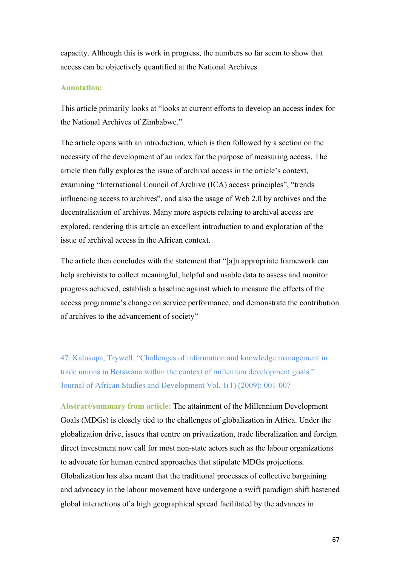capacity. Although this is work in progress, the numbers so far seem to show that access can be objectively quantified at the National Archives.

# **Annotation:**

This article primarily looks at "looks at current efforts to develop an access index for the National Archives of Zimbabwe."

The article opens with an introduction, which is then followed by a section on the necessity of the development of an index for the purpose of measuring access. The article then fully explores the issue of archival access in the article's context, examining "International Council of Archive (ICA) access principles", "trends influencing access to archives", and also the usage of Web 2.0 by archives and the decentralisation of archives. Many more aspects relating to archival access are explored, rendering this article an excellent introduction to and exploration of the issue of archival access in the African context.

The article then concludes with the statement that "[a]n appropriate framework can help archivists to collect meaningful, helpful and usable data to assess and monitor progress achieved, establish a baseline against which to measure the effects of the access programme's change on service performance, and demonstrate the contribution of archives to the advancement of society"

47. Kalusopa, Trywell. "Challenges of information and knowledge management in trade unions in Botswana within the context of millenium development goals." Journal of African Studies and Development Vol. 1(1) (2009): 001-007

**Abstract/summary from article:** The attainment of the Millennium Development Goals (MDGs) is closely tied to the challenges of globalization in Africa. Under the globalization drive, issues that centre on privatization, trade liberalization and foreign direct investment now call for most non-state actors such as the labour organizations to advocate for human centred approaches that stipulate MDGs projections. Globalization has also meant that the traditional processes of collective bargaining and advocacy in the labour movement have undergone a swift paradigm shift hastened global interactions of a high geographical spread facilitated by the advances in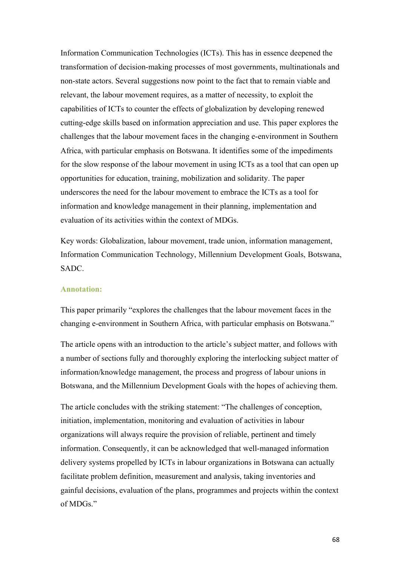Information Communication Technologies (ICTs). This has in essence deepened the transformation of decision-making processes of most governments, multinationals and non-state actors. Several suggestions now point to the fact that to remain viable and relevant, the labour movement requires, as a matter of necessity, to exploit the capabilities of ICTs to counter the effects of globalization by developing renewed cutting-edge skills based on information appreciation and use. This paper explores the challenges that the labour movement faces in the changing e-environment in Southern Africa, with particular emphasis on Botswana. It identifies some of the impediments for the slow response of the labour movement in using ICTs as a tool that can open up opportunities for education, training, mobilization and solidarity. The paper underscores the need for the labour movement to embrace the ICTs as a tool for information and knowledge management in their planning, implementation and evaluation of its activities within the context of MDGs.

Key words: Globalization, labour movement, trade union, information management, Information Communication Technology, Millennium Development Goals, Botswana, SADC.

#### **Annotation:**

This paper primarily "explores the challenges that the labour movement faces in the changing e-environment in Southern Africa, with particular emphasis on Botswana."

The article opens with an introduction to the article's subject matter, and follows with a number of sections fully and thoroughly exploring the interlocking subject matter of information/knowledge management, the process and progress of labour unions in Botswana, and the Millennium Development Goals with the hopes of achieving them.

The article concludes with the striking statement: "The challenges of conception, initiation, implementation, monitoring and evaluation of activities in labour organizations will always require the provision of reliable, pertinent and timely information. Consequently, it can be acknowledged that well-managed information delivery systems propelled by ICTs in labour organizations in Botswana can actually facilitate problem definition, measurement and analysis, taking inventories and gainful decisions, evaluation of the plans, programmes and projects within the context of MDGs."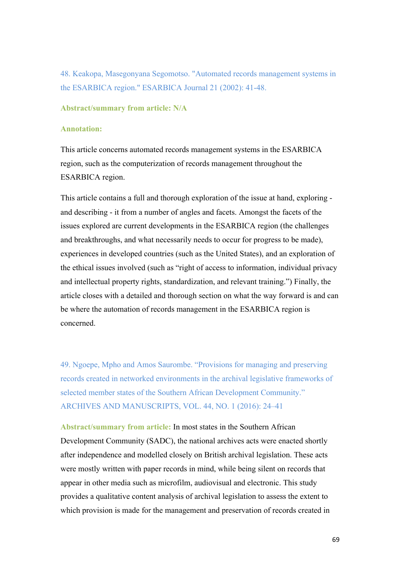48. Keakopa, Masegonyana Segomotso. "Automated records management systems in the ESARBICA region." ESARBICA Journal 21 (2002): 41-48.

#### **Abstract/summary from article: N/A**

## **Annotation:**

This article concerns automated records management systems in the ESARBICA region, such as the computerization of records management throughout the ESARBICA region.

This article contains a full and thorough exploration of the issue at hand, exploring and describing - it from a number of angles and facets. Amongst the facets of the issues explored are current developments in the ESARBICA region (the challenges and breakthroughs, and what necessarily needs to occur for progress to be made), experiences in developed countries (such as the United States), and an exploration of the ethical issues involved (such as "right of access to information, individual privacy and intellectual property rights, standardization, and relevant training.") Finally, the article closes with a detailed and thorough section on what the way forward is and can be where the automation of records management in the ESARBICA region is concerned.

49. Ngoepe, Mpho and Amos Saurombe. "Provisions for managing and preserving records created in networked environments in the archival legislative frameworks of selected member states of the Southern African Development Community." ARCHIVES AND MANUSCRIPTS, VOL. 44, NO. 1 (2016): 24–41

**Abstract/summary from article:** In most states in the Southern African

Development Community (SADC), the national archives acts were enacted shortly after independence and modelled closely on British archival legislation. These acts were mostly written with paper records in mind, while being silent on records that appear in other media such as microfilm, audiovisual and electronic. This study provides a qualitative content analysis of archival legislation to assess the extent to which provision is made for the management and preservation of records created in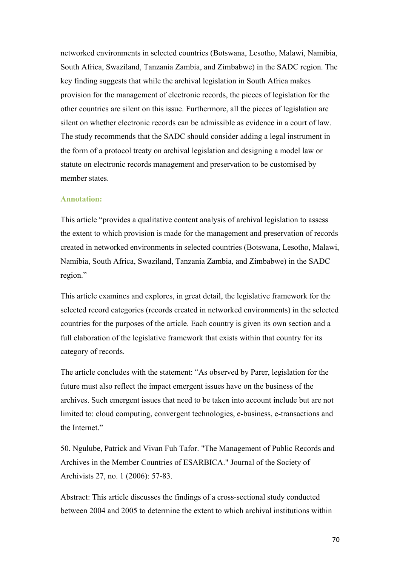networked environments in selected countries (Botswana, Lesotho, Malawi, Namibia, South Africa, Swaziland, Tanzania Zambia, and Zimbabwe) in the SADC region. The key finding suggests that while the archival legislation in South Africa makes provision for the management of electronic records, the pieces of legislation for the other countries are silent on this issue. Furthermore, all the pieces of legislation are silent on whether electronic records can be admissible as evidence in a court of law. The study recommends that the SADC should consider adding a legal instrument in the form of a protocol treaty on archival legislation and designing a model law or statute on electronic records management and preservation to be customised by member states.

## **Annotation:**

This article "provides a qualitative content analysis of archival legislation to assess the extent to which provision is made for the management and preservation of records created in networked environments in selected countries (Botswana, Lesotho, Malawi, Namibia, South Africa, Swaziland, Tanzania Zambia, and Zimbabwe) in the SADC region."

This article examines and explores, in great detail, the legislative framework for the selected record categories (records created in networked environments) in the selected countries for the purposes of the article. Each country is given its own section and a full elaboration of the legislative framework that exists within that country for its category of records.

The article concludes with the statement: "As observed by Parer, legislation for the future must also reflect the impact emergent issues have on the business of the archives. Such emergent issues that need to be taken into account include but are not limited to: cloud computing, convergent technologies, e-business, e-transactions and the Internet."

50. Ngulube, Patrick and Vivan Fuh Tafor. "The Management of Public Records and Archives in the Member Countries of ESARBICA." Journal of the Society of Archivists 27, no. 1 (2006): 57-83.

Abstract: This article discusses the findings of a cross-sectional study conducted between 2004 and 2005 to determine the extent to which archival institutions within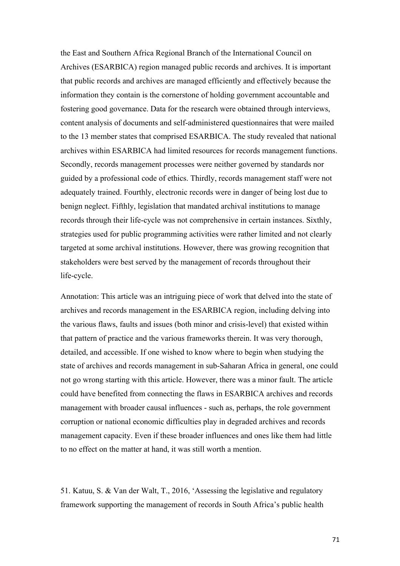the East and Southern Africa Regional Branch of the International Council on Archives (ESARBICA) region managed public records and archives. It is important that public records and archives are managed efficiently and effectively because the information they contain is the cornerstone of holding government accountable and fostering good governance. Data for the research were obtained through interviews, content analysis of documents and self-administered questionnaires that were mailed to the 13 member states that comprised ESARBICA. The study revealed that national archives within ESARBICA had limited resources for records management functions. Secondly, records management processes were neither governed by standards nor guided by a professional code of ethics. Thirdly, records management staff were not adequately trained. Fourthly, electronic records were in danger of being lost due to benign neglect. Fifthly, legislation that mandated archival institutions to manage records through their life-cycle was not comprehensive in certain instances. Sixthly, strategies used for public programming activities were rather limited and not clearly targeted at some archival institutions. However, there was growing recognition that stakeholders were best served by the management of records throughout their life-cycle.

Annotation: This article was an intriguing piece of work that delved into the state of archives and records management in the ESARBICA region, including delving into the various flaws, faults and issues (both minor and crisis-level) that existed within that pattern of practice and the various frameworks therein. It was very thorough, detailed, and accessible. If one wished to know where to begin when studying the state of archives and records management in sub-Saharan Africa in general, one could not go wrong starting with this article. However, there was a minor fault. The article could have benefited from connecting the flaws in ESARBICA archives and records management with broader causal influences - such as, perhaps, the role government corruption or national economic difficulties play in degraded archives and records management capacity. Even if these broader influences and ones like them had little to no effect on the matter at hand, it was still worth a mention.

51. Katuu, S. & Van der Walt, T., 2016, 'Assessing the legislative and regulatory framework supporting the management of records in South Africa's public health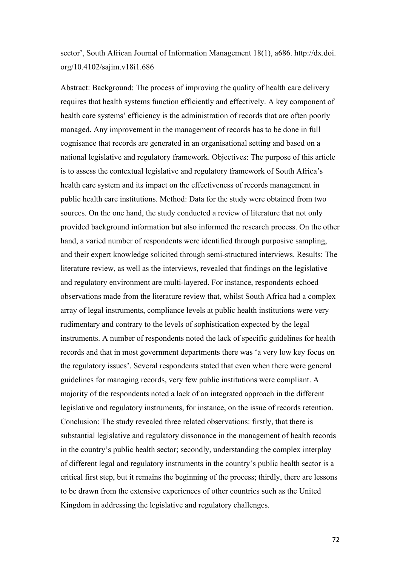sector', South African Journal of Information Management 18(1), a686. http://dx.doi. org/10.4102/sajim.v18i1.686

Abstract: Background: The process of improving the quality of health care delivery requires that health systems function efficiently and effectively. A key component of health care systems' efficiency is the administration of records that are often poorly managed. Any improvement in the management of records has to be done in full cognisance that records are generated in an organisational setting and based on a national legislative and regulatory framework. Objectives: The purpose of this article is to assess the contextual legislative and regulatory framework of South Africa's health care system and its impact on the effectiveness of records management in public health care institutions. Method: Data for the study were obtained from two sources. On the one hand, the study conducted a review of literature that not only provided background information but also informed the research process. On the other hand, a varied number of respondents were identified through purposive sampling, and their expert knowledge solicited through semi-structured interviews. Results: The literature review, as well as the interviews, revealed that findings on the legislative and regulatory environment are multi-layered. For instance, respondents echoed observations made from the literature review that, whilst South Africa had a complex array of legal instruments, compliance levels at public health institutions were very rudimentary and contrary to the levels of sophistication expected by the legal instruments. A number of respondents noted the lack of specific guidelines for health records and that in most government departments there was 'a very low key focus on the regulatory issues'. Several respondents stated that even when there were general guidelines for managing records, very few public institutions were compliant. A majority of the respondents noted a lack of an integrated approach in the different legislative and regulatory instruments, for instance, on the issue of records retention. Conclusion: The study revealed three related observations: firstly, that there is substantial legislative and regulatory dissonance in the management of health records in the country's public health sector; secondly, understanding the complex interplay of different legal and regulatory instruments in the country's public health sector is a critical first step, but it remains the beginning of the process; thirdly, there are lessons to be drawn from the extensive experiences of other countries such as the United Kingdom in addressing the legislative and regulatory challenges.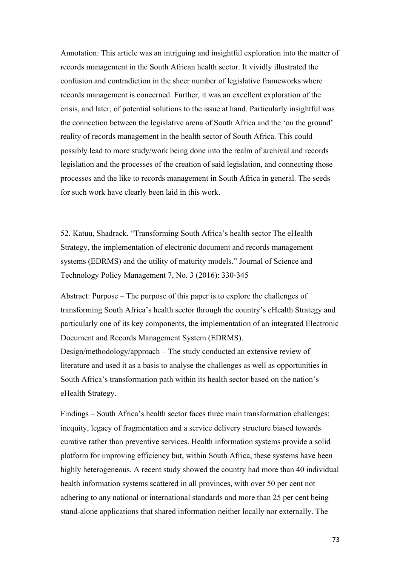Annotation: This article was an intriguing and insightful exploration into the matter of records management in the South African health sector. It vividly illustrated the confusion and contradiction in the sheer number of legislative frameworks where records management is concerned. Further, it was an excellent exploration of the crisis, and later, of potential solutions to the issue at hand. Particularly insightful was the connection between the legislative arena of South Africa and the 'on the ground' reality of records management in the health sector of South Africa. This could possibly lead to more study/work being done into the realm of archival and records legislation and the processes of the creation of said legislation, and connecting those processes and the like to records management in South Africa in general. The seeds for such work have clearly been laid in this work.

52. Katuu, Shadrack. "Transforming South Africa's health sector The eHealth Strategy, the implementation of electronic document and records management systems (EDRMS) and the utility of maturity models." Journal of Science and Technology Policy Management 7, No. 3 (2016): 330-345

Abstract: Purpose – The purpose of this paper is to explore the challenges of transforming South Africa's health sector through the country's eHealth Strategy and particularly one of its key components, the implementation of an integrated Electronic Document and Records Management System (EDRMS).

Design/methodology/approach – The study conducted an extensive review of literature and used it as a basis to analyse the challenges as well as opportunities in South Africa's transformation path within its health sector based on the nation's eHealth Strategy.

Findings – South Africa's health sector faces three main transformation challenges: inequity, legacy of fragmentation and a service delivery structure biased towards curative rather than preventive services. Health information systems provide a solid platform for improving efficiency but, within South Africa, these systems have been highly heterogeneous. A recent study showed the country had more than 40 individual health information systems scattered in all provinces, with over 50 per cent not adhering to any national or international standards and more than 25 per cent being stand-alone applications that shared information neither locally nor externally. The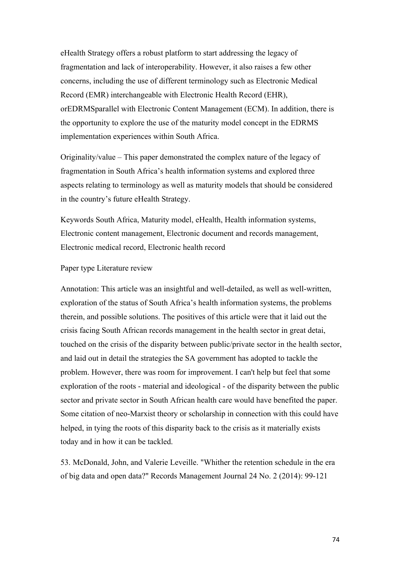eHealth Strategy offers a robust platform to start addressing the legacy of fragmentation and lack of interoperability. However, it also raises a few other concerns, including the use of different terminology such as Electronic Medical Record (EMR) interchangeable with Electronic Health Record (EHR), orEDRMSparallel with Electronic Content Management (ECM). In addition, there is the opportunity to explore the use of the maturity model concept in the EDRMS implementation experiences within South Africa.

Originality/value – This paper demonstrated the complex nature of the legacy of fragmentation in South Africa's health information systems and explored three aspects relating to terminology as well as maturity models that should be considered in the country's future eHealth Strategy.

Keywords South Africa, Maturity model, eHealth, Health information systems, Electronic content management, Electronic document and records management, Electronic medical record, Electronic health record

## Paper type Literature review

Annotation: This article was an insightful and well-detailed, as well as well-written, exploration of the status of South Africa's health information systems, the problems therein, and possible solutions. The positives of this article were that it laid out the crisis facing South African records management in the health sector in great detai, touched on the crisis of the disparity between public/private sector in the health sector, and laid out in detail the strategies the SA government has adopted to tackle the problem. However, there was room for improvement. I can't help but feel that some exploration of the roots - material and ideological - of the disparity between the public sector and private sector in South African health care would have benefited the paper. Some citation of neo-Marxist theory or scholarship in connection with this could have helped, in tying the roots of this disparity back to the crisis as it materially exists today and in how it can be tackled.

53. McDonald, John, and Valerie Leveille. "Whither the retention schedule in the era of big data and open data?" Records Management Journal 24 No. 2 (2014): 99-121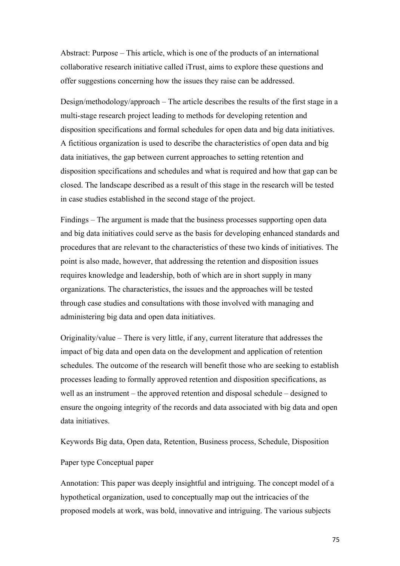Abstract: Purpose – This article, which is one of the products of an international collaborative research initiative called iTrust, aims to explore these questions and offer suggestions concerning how the issues they raise can be addressed.

Design/methodology/approach – The article describes the results of the first stage in a multi-stage research project leading to methods for developing retention and disposition specifications and formal schedules for open data and big data initiatives. A fictitious organization is used to describe the characteristics of open data and big data initiatives, the gap between current approaches to setting retention and disposition specifications and schedules and what is required and how that gap can be closed. The landscape described as a result of this stage in the research will be tested in case studies established in the second stage of the project.

Findings – The argument is made that the business processes supporting open data and big data initiatives could serve as the basis for developing enhanced standards and procedures that are relevant to the characteristics of these two kinds of initiatives. The point is also made, however, that addressing the retention and disposition issues requires knowledge and leadership, both of which are in short supply in many organizations. The characteristics, the issues and the approaches will be tested through case studies and consultations with those involved with managing and administering big data and open data initiatives.

Originality/value – There is very little, if any, current literature that addresses the impact of big data and open data on the development and application of retention schedules. The outcome of the research will benefit those who are seeking to establish processes leading to formally approved retention and disposition specifications, as well as an instrument – the approved retention and disposal schedule – designed to ensure the ongoing integrity of the records and data associated with big data and open data initiatives.

Keywords Big data, Open data, Retention, Business process, Schedule, Disposition

## Paper type Conceptual paper

Annotation: This paper was deeply insightful and intriguing. The concept model of a hypothetical organization, used to conceptually map out the intricacies of the proposed models at work, was bold, innovative and intriguing. The various subjects